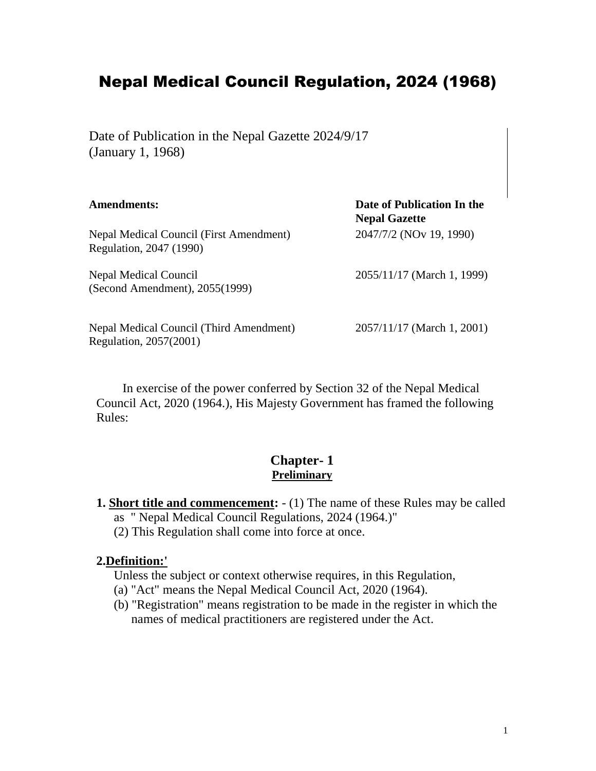# Nepal Medical Council Regulation, 2024 (1968)

Date of Publication in the Nepal Gazette 2024/9/17 (January 1, 1968)

| <b>Amendments:</b>                                                 | Date of Publication In the<br><b>Nepal Gazette</b> |
|--------------------------------------------------------------------|----------------------------------------------------|
| Nepal Medical Council (First Amendment)<br>Regulation, 2047 (1990) | 2047/7/2 (NOv 19, 1990)                            |
| Nepal Medical Council<br>(Second Amendment), 2055(1999)            | 2055/11/17 (March 1, 1999)                         |
| Nepal Medical Council (Third Amendment)<br>Regulation, 2057(2001)  | 2057/11/17 (March 1, 2001)                         |

In exercise of the power conferred by Section 32 of the Nepal Medical Council Act, 2020 (1964.), His Majesty Government has framed the following Rules:

#### **Chapter- 1 Preliminary**

- **1. Short title and commencement:**  (1) The name of these Rules may be called as " Nepal Medical Council Regulations, 2024 (1964.)"
	- (2) This Regulation shall come into force at once.

#### **2.Definition:'**

- Unless the subject or context otherwise requires, in this Regulation,
- (a) "Act" means the Nepal Medical Council Act, 2020 (1964).
- (b) "Registration" means registration to be made in the register in which the names of medical practitioners are registered under the Act.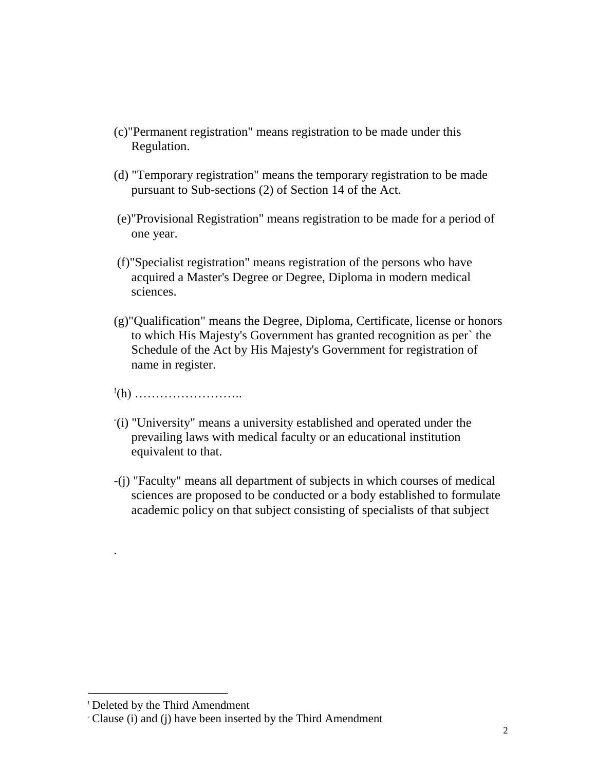- (c)"Permanent registration" means registration to be made under this Regulation.
- (d) "Temporary registration" means the temporary registration to be made pursuant to Sub-sections (2) of Section 14 of the Act.
- (e)"Provisional Registration" means registration to be made for a period of one year.
- (f)"Specialist registration" means registration of the persons who have acquired a Master's Degree or Degree, Diploma in modern medical sciences.
- (g)"Qualification" means the Degree, Diploma, Certificate, license or honors to which His Majesty's Government has granted recognition as per` the Schedule of the Act by His Majesty's Government for registration of name in register.
- ! (h) ……………………..
- (i) "University" means a university established and operated under the prevailing laws with medical faculty or an educational institution equivalent to that.
- -(j) "Faculty" means all department of subjects in which courses of medical sciences are proposed to be conducted or a body established to formulate academic policy on that subject consisting of specialists of that subject

.

<sup>!</sup> Deleted by the Third Amendment

<sup>-</sup> Clause (i) and (j) have been inserted by the Third Amendment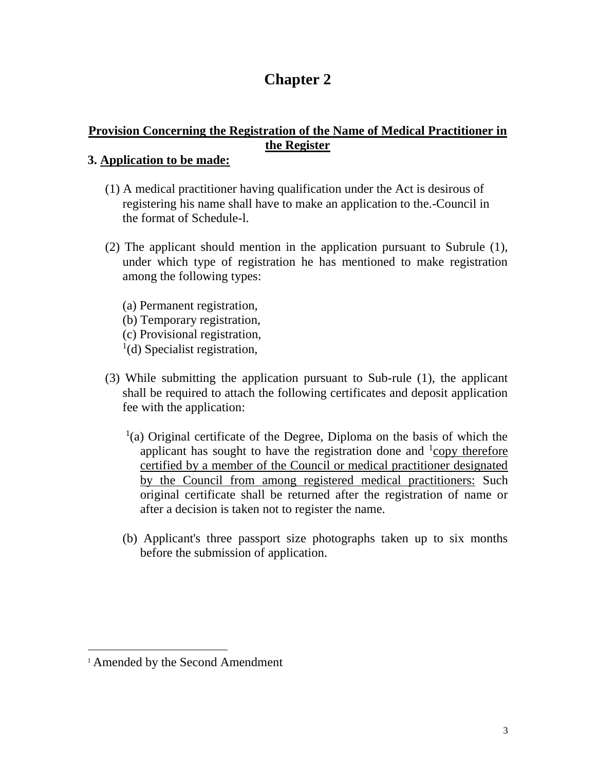## **Chapter 2**

#### **Provision Concerning the Registration of the Name of Medical Practitioner in the Register**

#### **3. Application to be made:**

- (1) A medical practitioner having qualification under the Act is desirous of registering his name shall have to make an application to the.-Council in the format of Schedule-l.
- (2) The applicant should mention in the application pursuant to Subrule (1), under which type of registration he has mentioned to make registration among the following types:
	- (a) Permanent registration, (b) Temporary registration, (c) Provisional registration, <sup>1</sup>(d) Specialist registration,
- (3) While submitting the application pursuant to Sub-rule (1), the applicant shall be required to attach the following certificates and deposit application fee with the application:
	- $(1)$  (a) Original certificate of the Degree, Diploma on the basis of which the applicant has sought to have the registration done and  $\frac{1}{2}$ copy therefore certified by a member of the Council or medical practitioner designated by the Council from among registered medical practitioners: Such original certificate shall be returned after the registration of name or after a decision is taken not to register the name.
	- (b) Applicant's three passport size photographs taken up to six months before the submission of application.

<sup>1</sup> Amended by the Second Amendment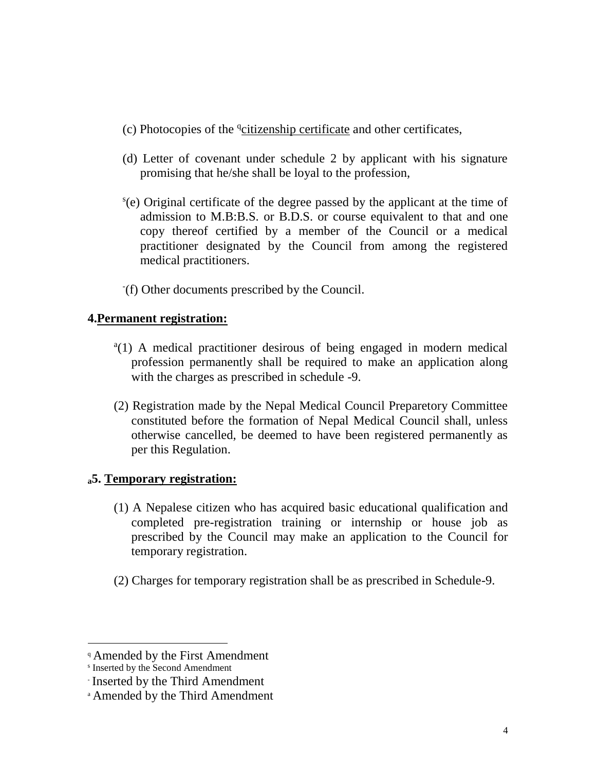- (c) Photocopies of the *deitizenship certificate* and other certificates,
- (d) Letter of covenant under schedule 2 by applicant with his signature promising that he/she shall be loyal to the profession,
- s (e) Original certificate of the degree passed by the applicant at the time of admission to M.B:B.S. or B.D.S. or course equivalent to that and one copy thereof certified by a member of the Council or a medical practitioner designated by the Council from among the registered medical practitioners.
- (f) Other documents prescribed by the Council.

#### **4.Permanent registration:**

- <sup>a</sup>(1) A medical practitioner desirous of being engaged in modern medical profession permanently shall be required to make an application along with the charges as prescribed in schedule -9.
- (2) Registration made by the Nepal Medical Council Preparetory Committee constituted before the formation of Nepal Medical Council shall, unless otherwise cancelled, be deemed to have been registered permanently as per this Regulation.

#### **<sup>a</sup>5. Temporary registration:**

- (1) A Nepalese citizen who has acquired basic educational qualification and completed pre-registration training or internship or house job as prescribed by the Council may make an application to the Council for temporary registration.
- (2) Charges for temporary registration shall be as prescribed in Schedule-9.

<sup>&</sup>lt;sup>q</sup> Amended by the First Amendment

s Inserted by the Second Amendment

<sup>-</sup> Inserted by the Third Amendment

<sup>a</sup> Amended by the Third Amendment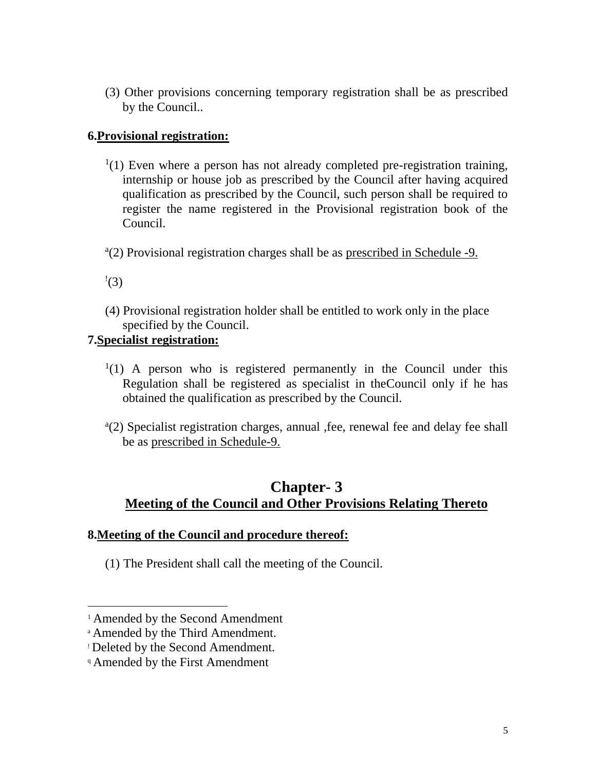(3) Other provisions concerning temporary registration shall be as prescribed by the Council..

#### **6.Provisional registration:**

- $(1)$  Even where a person has not already completed pre-registration training, internship or house job as prescribed by the Council after having acquired qualification as prescribed by the Council, such person shall be required to register the name registered in the Provisional registration book of the Council.
- <sup>a</sup>(2) Provisional registration charges shall be as prescribed in Schedule -9.
- $\cdot$ (3)

 $\overline{a}$ 

(4) Provisional registration holder shall be entitled to work only in the place specified by the Council.

#### **7.Specialist registration:**

- $(1)$  A person who is registered permanently in the Council under this Regulation shall be registered as specialist in theCouncil only if he has obtained the qualification as prescribed by the Council.
- a (2) Specialist registration charges, annual ,fee, renewal fee and delay fee shall be as prescribed in Schedule-9.

## **Chapter- 3 Meeting of the Council and Other Provisions Relating Thereto**

#### **8.Meeting of the Council and procedure thereof:**

(1) The President shall call the meeting of the Council.

<sup>1</sup> Amended by the Second Amendment

<sup>a</sup> Amended by the Third Amendment.

<sup>!</sup> Deleted by the Second Amendment.

<sup>q</sup> Amended by the First Amendment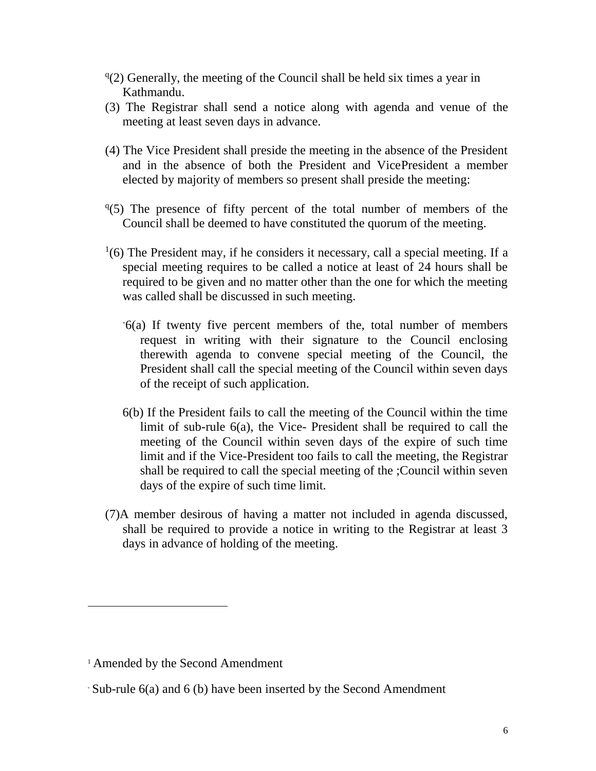- $q(2)$  Generally, the meeting of the Council shall be held six times a year in Kathmandu.
- (3) The Registrar shall send a notice along with agenda and venue of the meeting at least seven days in advance.
- (4) The Vice President shall preside the meeting in the absence of the President and in the absence of both the President and VicePresident a member elected by majority of members so present shall preside the meeting:
- <sup>q(5)</sup> The presence of fifty percent of the total number of members of the Council shall be deemed to have constituted the quorum of the meeting.
- $<sup>1</sup>(6)$  The President may, if he considers it necessary, call a special meeting. If a</sup> special meeting requires to be called a notice at least of 24 hours shall be required to be given and no matter other than the one for which the meeting was called shall be discussed in such meeting.
	- -6(a) If twenty five percent members of the, total number of members request in writing with their signature to the Council enclosing therewith agenda to convene special meeting of the Council, the President shall call the special meeting of the Council within seven days of the receipt of such application.
	- 6(b) If the President fails to call the meeting of the Council within the time limit of sub-rule 6(a), the Vice- President shall be required to call the meeting of the Council within seven days of the expire of such time limit and if the Vice-President too fails to call the meeting, the Registrar shall be required to call the special meeting of the ;Council within seven days of the expire of such time limit.
- (7)A member desirous of having a matter not included in agenda discussed, shall be required to provide a notice in writing to the Registrar at least 3 days in advance of holding of the meeting.

<sup>1</sup> Amended by the Second Amendment

<sup>-</sup> Sub-rule 6(a) and 6 (b) have been inserted by the Second Amendment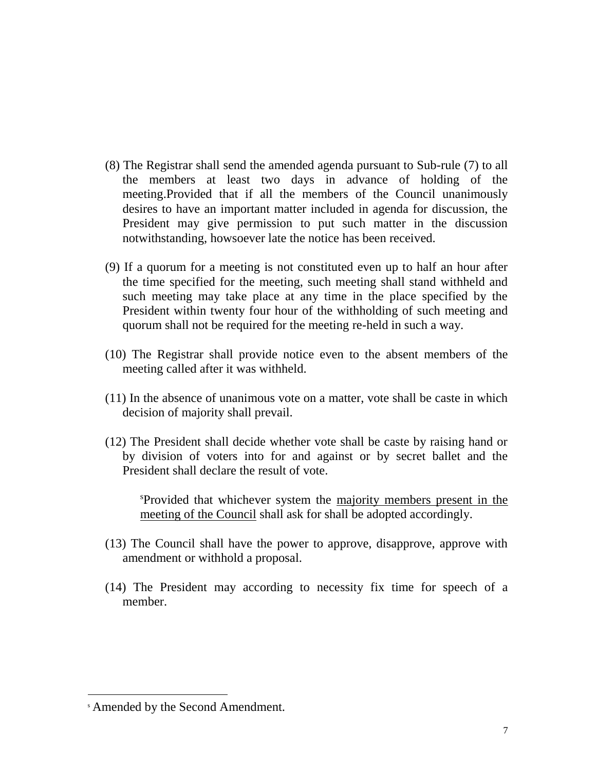- (8) The Registrar shall send the amended agenda pursuant to Sub-rule (7) to all the members at least two days in advance of holding of the meeting.Provided that if all the members of the Council unanimously desires to have an important matter included in agenda for discussion, the President may give permission to put such matter in the discussion notwithstanding, howsoever late the notice has been received.
- (9) If a quorum for a meeting is not constituted even up to half an hour after the time specified for the meeting, such meeting shall stand withheld and such meeting may take place at any time in the place specified by the President within twenty four hour of the withholding of such meeting and quorum shall not be required for the meeting re-held in such a way.
- (10) The Registrar shall provide notice even to the absent members of the meeting called after it was withheld.
- (11) In the absence of unanimous vote on a matter, vote shall be caste in which decision of majority shall prevail.
- (12) The President shall decide whether vote shall be caste by raising hand or by division of voters into for and against or by secret ballet and the President shall declare the result of vote.

<sup>s</sup>Provided that whichever system the majority members present in the meeting of the Council shall ask for shall be adopted accordingly.

- (13) The Council shall have the power to approve, disapprove, approve with amendment or withhold a proposal.
- (14) The President may according to necessity fix time for speech of a member.

<sup>s</sup> Amended by the Second Amendment.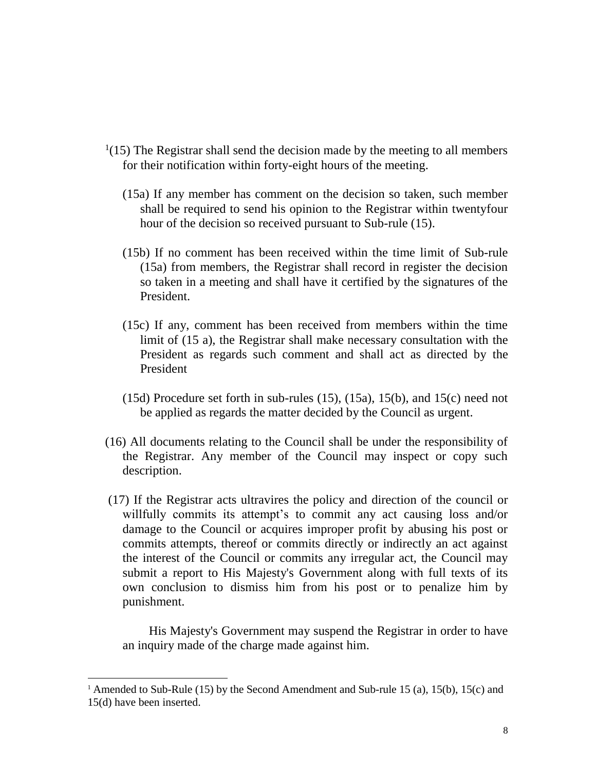- $1(15)$  The Registrar shall send the decision made by the meeting to all members for their notification within forty-eight hours of the meeting.
	- (15a) If any member has comment on the decision so taken, such member shall be required to send his opinion to the Registrar within twentyfour hour of the decision so received pursuant to Sub-rule (15).
	- (15b) If no comment has been received within the time limit of Sub-rule (15a) from members, the Registrar shall record in register the decision so taken in a meeting and shall have it certified by the signatures of the President.
	- (15c) If any, comment has been received from members within the time limit of (15 a), the Registrar shall make necessary consultation with the President as regards such comment and shall act as directed by the President
	- (15d) Procedure set forth in sub-rules (15), (15a), 15(b), and 15(c) need not be applied as regards the matter decided by the Council as urgent.
- (16) All documents relating to the Council shall be under the responsibility of the Registrar. Any member of the Council may inspect or copy such description.
- (17) If the Registrar acts ultravires the policy and direction of the council or willfully commits its attempt's to commit any act causing loss and/or damage to the Council or acquires improper profit by abusing his post or commits attempts, thereof or commits directly or indirectly an act against the interest of the Council or commits any irregular act, the Council may submit a report to His Majesty's Government along with full texts of its own conclusion to dismiss him from his post or to penalize him by punishment.

His Majesty's Government may suspend the Registrar in order to have an inquiry made of the charge made against him.

<sup>1</sup> Amended to Sub-Rule (15) by the Second Amendment and Sub-rule 15 (a), 15(b), 15(c) and 15(d) have been inserted.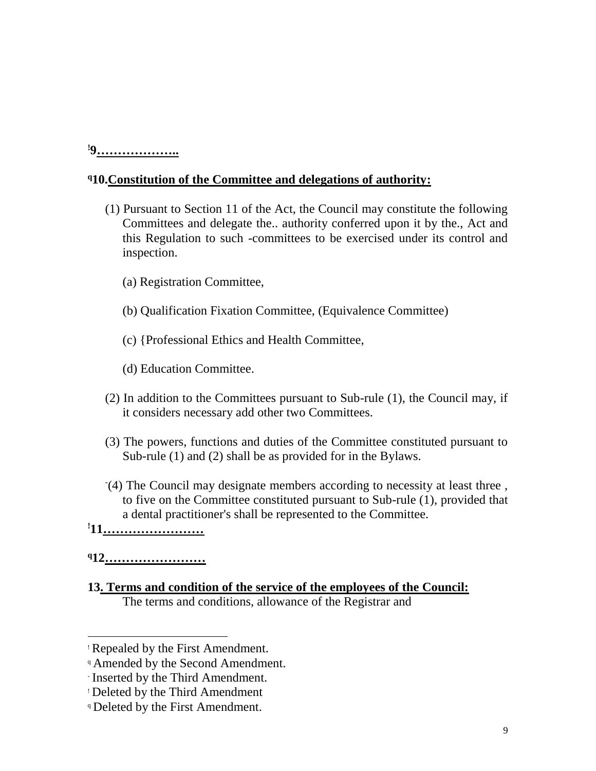#### **!9………………..**

#### **<sup>q</sup>10.Constitution of the Committee and delegations of authority:**

- (1) Pursuant to Section 11 of the Act, the Council may constitute the following Committees and delegate the.. authority conferred upon it by the., Act and this Regulation to such -committees to be exercised under its control and inspection.
	- (a) Registration Committee,
	- (b) Qualification Fixation Committee, (Equivalence Committee)
	- (c) {Professional Ethics and Health Committee,
	- (d) Education Committee.
- (2) In addition to the Committees pursuant to Sub-rule (1), the Council may, if it considers necessary add other two Committees.
- (3) The powers, functions and duties of the Committee constituted pursuant to Sub-rule (1) and (2) shall be as provided for in the Bylaws.
- (4) The Council may designate members according to necessity at least three , to five on the Committee constituted pursuant to Sub-rule (1), provided that a dental practitioner's shall be represented to the Committee.

## **!11……………………**

#### **<sup>q</sup>12……………………**

l

**13. Terms and condition of the service of the employees of the Council:** The terms and conditions, allowance of the Registrar and

<sup>!</sup> Repealed by the First Amendment.

<sup>&</sup>lt;sup>q</sup> Amended by the Second Amendment.

<sup>-</sup> Inserted by the Third Amendment.

<sup>!</sup> Deleted by the Third Amendment

**P** Deleted by the First Amendment.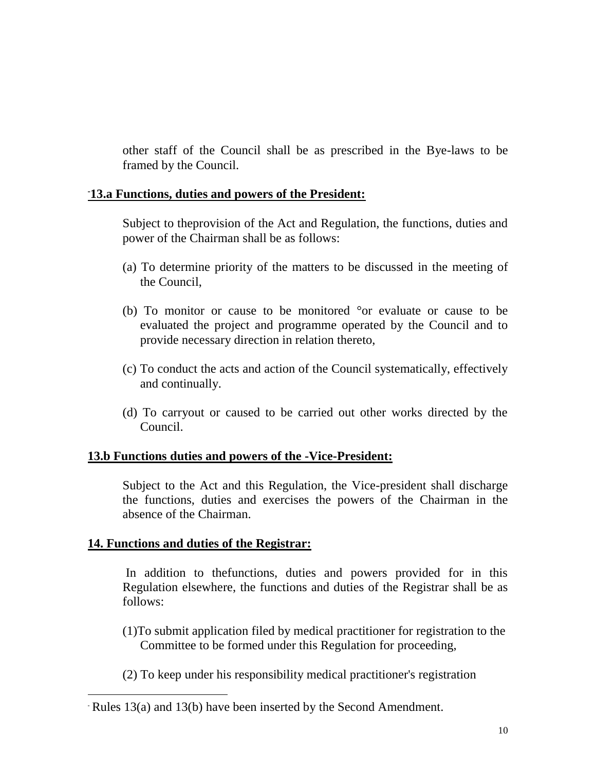other staff of the Council shall be as prescribed in the Bye-laws to be framed by the Council.

#### **-13.a Functions, duties and powers of the President:**

Subject to theprovision of the Act and Regulation, the functions, duties and power of the Chairman shall be as follows:

- (a) To determine priority of the matters to be discussed in the meeting of the Council,
- (b) To monitor or cause to be monitored °or evaluate or cause to be evaluated the project and programme operated by the Council and to provide necessary direction in relation thereto,
- (c) To conduct the acts and action of the Council systematically, effectively and continually.
- (d) To carryout or caused to be carried out other works directed by the Council.

#### **13.b Functions duties and powers of the -Vice-President:**

Subject to the Act and this Regulation, the Vice-president shall discharge the functions, duties and exercises the powers of the Chairman in the absence of the Chairman.

#### **14. Functions and duties of the Registrar:**

 $\overline{a}$ 

In addition to thefunctions, duties and powers provided for in this Regulation elsewhere, the functions and duties of the Registrar shall be as follows:

- (1)To submit application filed by medical practitioner for registration to the Committee to be formed under this Regulation for proceeding,
- (2) To keep under his responsibility medical practitioner's registration

<sup>-</sup> Rules 13(a) and 13(b) have been inserted by the Second Amendment.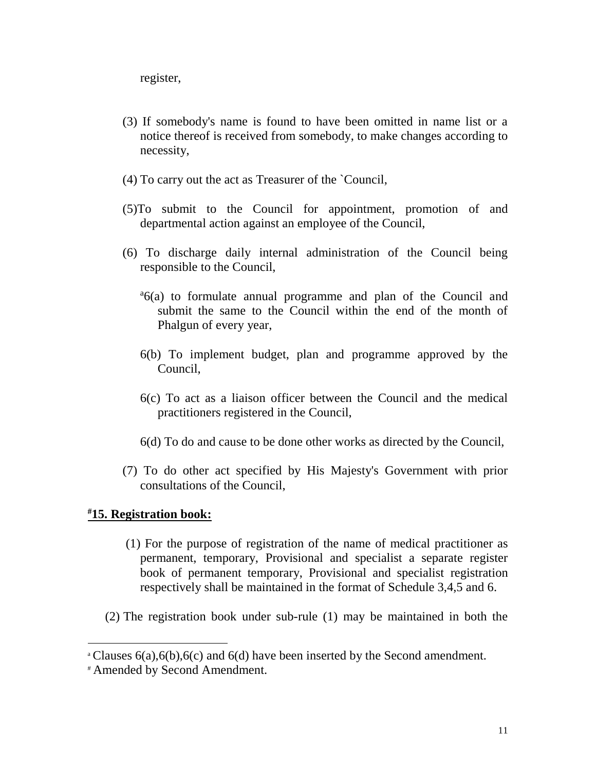register,

- (3) If somebody's name is found to have been omitted in name list or a notice thereof is received from somebody, to make changes according to necessity,
- (4) To carry out the act as Treasurer of the `Council,
- (5)To submit to the Council for appointment, promotion of and departmental action against an employee of the Council,
- (6) To discharge daily internal administration of the Council being responsible to the Council,
	- <sup>a</sup>6(a) to formulate annual programme and plan of the Council and submit the same to the Council within the end of the month of Phalgun of every year,
	- 6(b) To implement budget, plan and programme approved by the Council,
	- 6(c) To act as a liaison officer between the Council and the medical practitioners registered in the Council,
	- 6(d) To do and cause to be done other works as directed by the Council,
- (7) To do other act specified by His Majesty's Government with prior consultations of the Council,

#### **#15. Registration book:**

- (1) For the purpose of registration of the name of medical practitioner as permanent, temporary, Provisional and specialist a separate register book of permanent temporary, Provisional and specialist registration respectively shall be maintained in the format of Schedule 3,4,5 and 6.
- (2) The registration book under sub-rule (1) may be maintained in both the

<sup>&</sup>lt;sup>a</sup> Clauses  $6(a)$ ,  $6(b)$ ,  $6(c)$  and  $6(d)$  have been inserted by the Second amendment.

<sup>#</sup> Amended by Second Amendment.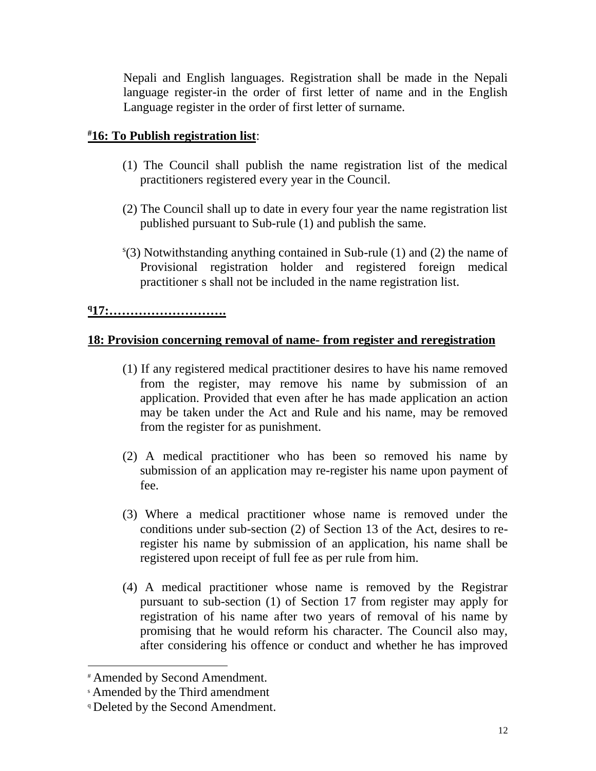Nepali and English languages. Registration shall be made in the Nepali language register-in the order of first letter of name and in the English Language register in the order of first letter of surname.

#### **#16: To Publish registration list**:

- (1) The Council shall publish the name registration list of the medical practitioners registered every year in the Council.
- (2) The Council shall up to date in every four year the name registration list published pursuant to Sub-rule (1) and publish the same.
- s (3) Notwithstanding anything contained in Sub-rule (1) and (2) the name of Provisional registration holder and registered foreign medical practitioner s shall not be included in the name registration list.

#### **<sup>q</sup>17:……………………….**

#### **18: Provision concerning removal of name- from register and reregistration**

- (1) If any registered medical practitioner desires to have his name removed from the register, may remove his name by submission of an application. Provided that even after he has made application an action may be taken under the Act and Rule and his name, may be removed from the register for as punishment.
- (2) A medical practitioner who has been so removed his name by submission of an application may re-register his name upon payment of fee.
- (3) Where a medical practitioner whose name is removed under the conditions under sub-section (2) of Section 13 of the Act, desires to reregister his name by submission of an application, his name shall be registered upon receipt of full fee as per rule from him.
- (4) A medical practitioner whose name is removed by the Registrar pursuant to sub-section (1) of Section 17 from register may apply for registration of his name after two years of removal of his name by promising that he would reform his character. The Council also may, after considering his offence or conduct and whether he has improved

l

<sup>#</sup> Amended by Second Amendment.

<sup>s</sup> Amended by the Third amendment

<sup>q</sup> Deleted by the Second Amendment.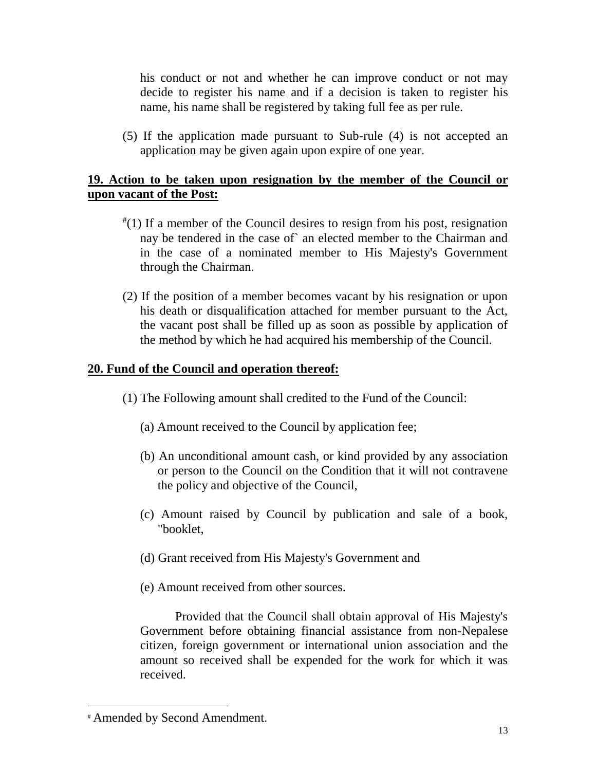his conduct or not and whether he can improve conduct or not may decide to register his name and if a decision is taken to register his name, his name shall be registered by taking full fee as per rule.

(5) If the application made pursuant to Sub-rule (4) is not accepted an application may be given again upon expire of one year.

#### **19. Action to be taken upon resignation by the member of the Council or upon vacant of the Post:**

- # (1) If a member of the Council desires to resign from his post, resignation nay be tendered in the case of` an elected member to the Chairman and in the case of a nominated member to His Majesty's Government through the Chairman.
- (2) If the position of a member becomes vacant by his resignation or upon his death or disqualification attached for member pursuant to the Act, the vacant post shall be filled up as soon as possible by application of the method by which he had acquired his membership of the Council.

#### **20. Fund of the Council and operation thereof:**

- (1) The Following amount shall credited to the Fund of the Council:
	- (a) Amount received to the Council by application fee;
	- (b) An unconditional amount cash, or kind provided by any association or person to the Council on the Condition that it will not contravene the policy and objective of the Council,
	- (c) Amount raised by Council by publication and sale of a book, "booklet,
	- (d) Grant received from His Majesty's Government and
	- (e) Amount received from other sources.

Provided that the Council shall obtain approval of His Majesty's Government before obtaining financial assistance from non-Nepalese citizen, foreign government or international union association and the amount so received shall be expended for the work for which it was received.

<sup>#</sup> Amended by Second Amendment.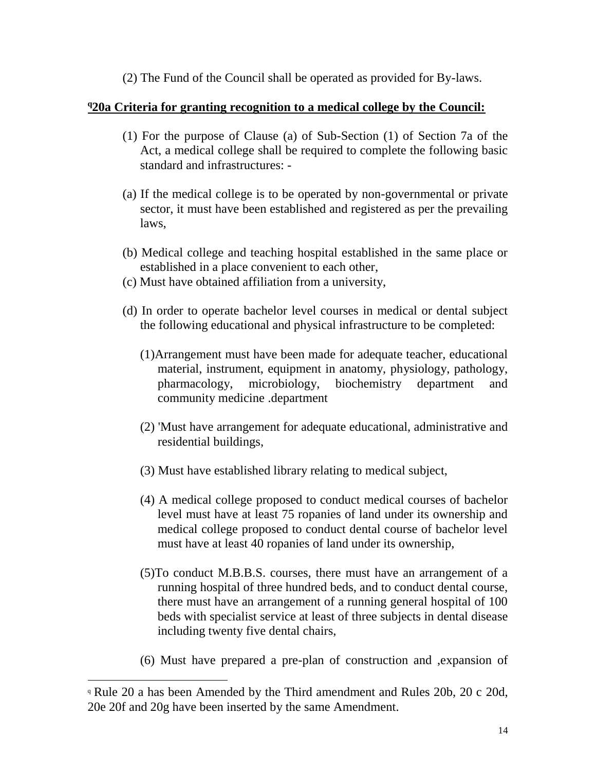(2) The Fund of the Council shall be operated as provided for By-laws.

#### **<sup>q</sup>20a Criteria for granting recognition to a medical college by the Council:**

- (1) For the purpose of Clause (a) of Sub-Section (1) of Section 7a of the Act, a medical college shall be required to complete the following basic standard and infrastructures: -
- (a) If the medical college is to be operated by non-governmental or private sector, it must have been established and registered as per the prevailing laws,
- (b) Medical college and teaching hospital established in the same place or established in a place convenient to each other,
- (c) Must have obtained affiliation from a university,
- (d) In order to operate bachelor level courses in medical or dental subject the following educational and physical infrastructure to be completed:
	- (1)Arrangement must have been made for adequate teacher, educational material, instrument, equipment in anatomy, physiology, pathology, pharmacology, microbiology, biochemistry department and community medicine .department
	- (2) 'Must have arrangement for adequate educational, administrative and residential buildings,
	- (3) Must have established library relating to medical subject,
	- (4) A medical college proposed to conduct medical courses of bachelor level must have at least 75 ropanies of land under its ownership and medical college proposed to conduct dental course of bachelor level must have at least 40 ropanies of land under its ownership,
	- (5)To conduct M.B.B.S. courses, there must have an arrangement of a running hospital of three hundred beds, and to conduct dental course, there must have an arrangement of a running general hospital of 100 beds with specialist service at least of three subjects in dental disease including twenty five dental chairs,
	- (6) Must have prepared a pre-plan of construction and ,expansion of

<sup>q</sup> Rule 20 a has been Amended by the Third amendment and Rules 20b, 20 c 20d, 20e 20f and 20g have been inserted by the same Amendment.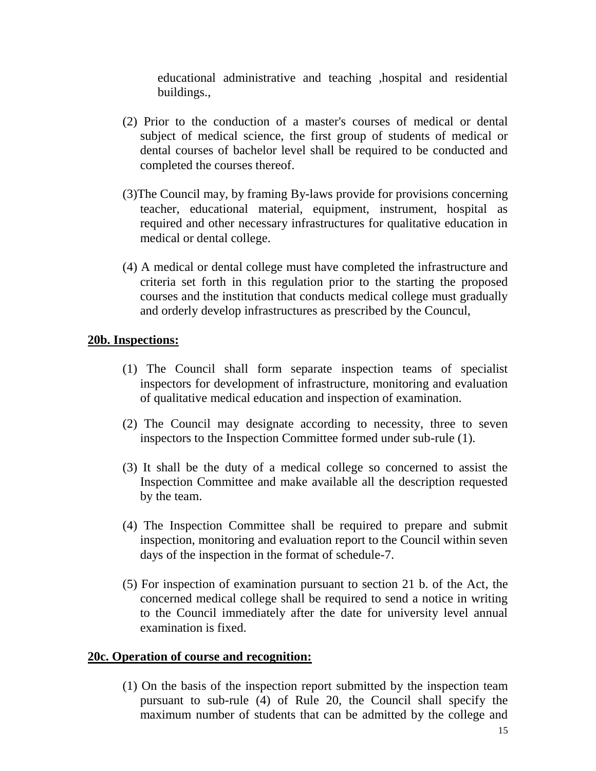educational administrative and teaching ,hospital and residential buildings.,

- (2) Prior to the conduction of a master's courses of medical or dental subject of medical science, the first group of students of medical or dental courses of bachelor level shall be required to be conducted and completed the courses thereof.
- (3)The Council may, by framing By-laws provide for provisions concerning teacher, educational material, equipment, instrument, hospital as required and other necessary infrastructures for qualitative education in medical or dental college.
- (4) A medical or dental college must have completed the infrastructure and criteria set forth in this regulation prior to the starting the proposed courses and the institution that conducts medical college must gradually and orderly develop infrastructures as prescribed by the Councul,

#### **20b. Inspections:**

- (1) The Council shall form separate inspection teams of specialist inspectors for development of infrastructure, monitoring and evaluation of qualitative medical education and inspection of examination.
- (2) The Council may designate according to necessity, three to seven inspectors to the Inspection Committee formed under sub-rule (1).
- (3) It shall be the duty of a medical college so concerned to assist the Inspection Committee and make available all the description requested by the team.
- (4) The Inspection Committee shall be required to prepare and submit inspection, monitoring and evaluation report to the Council within seven days of the inspection in the format of schedule-7.
- (5) For inspection of examination pursuant to section 21 b. of the Act, the concerned medical college shall be required to send a notice in writing to the Council immediately after the date for university level annual examination is fixed.

#### **20c. Operation of course and recognition:**

(1) On the basis of the inspection report submitted by the inspection team pursuant to sub-rule (4) of Rule 20, the Council shall specify the maximum number of students that can be admitted by the college and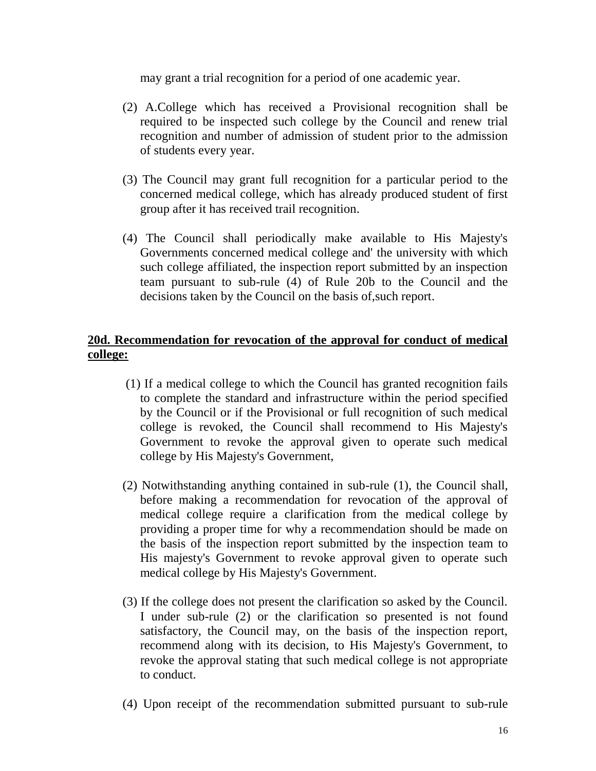may grant a trial recognition for a period of one academic year.

- (2) A.College which has received a Provisional recognition shall be required to be inspected such college by the Council and renew trial recognition and number of admission of student prior to the admission of students every year.
- (3) The Council may grant full recognition for a particular period to the concerned medical college, which has already produced student of first group after it has received trail recognition.
- (4) The Council shall periodically make available to His Majesty's Governments concerned medical college and' the university with which such college affiliated, the inspection report submitted by an inspection team pursuant to sub-rule (4) of Rule 20b to the Council and the decisions taken by the Council on the basis of,such report.

#### **20d. Recommendation for revocation of the approval for conduct of medical college:**

- (1) If a medical college to which the Council has granted recognition fails to complete the standard and infrastructure within the period specified by the Council or if the Provisional or full recognition of such medical college is revoked, the Council shall recommend to His Majesty's Government to revoke the approval given to operate such medical college by His Majesty's Government,
- (2) Notwithstanding anything contained in sub-rule (1), the Council shall, before making a recommendation for revocation of the approval of medical college require a clarification from the medical college by providing a proper time for why a recommendation should be made on the basis of the inspection report submitted by the inspection team to His majesty's Government to revoke approval given to operate such medical college by His Majesty's Government.
- (3) If the college does not present the clarification so asked by the Council. I under sub-rule (2) or the clarification so presented is not found satisfactory, the Council may, on the basis of the inspection report, recommend along with its decision, to His Majesty's Government, to revoke the approval stating that such medical college is not appropriate to conduct.
- (4) Upon receipt of the recommendation submitted pursuant to sub-rule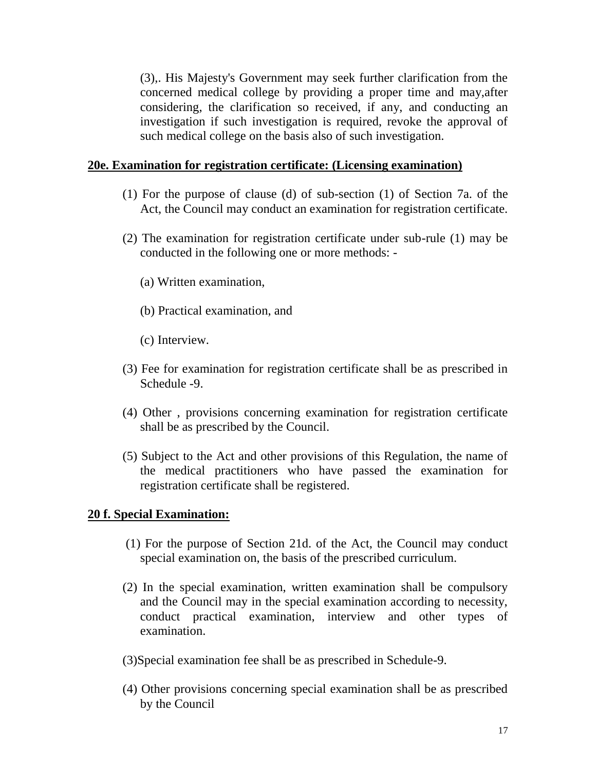(3),. His Majesty's Government may seek further clarification from the concerned medical college by providing a proper time and may,after considering, the clarification so received, if any, and conducting an investigation if such investigation is required, revoke the approval of such medical college on the basis also of such investigation.

#### **20e. Examination for registration certificate: (Licensing examination)**

- (1) For the purpose of clause (d) of sub-section (1) of Section 7a. of the Act, the Council may conduct an examination for registration certificate.
- (2) The examination for registration certificate under sub-rule (1) may be conducted in the following one or more methods: -
	- (a) Written examination,
	- (b) Practical examination, and
	- (c) Interview.
- (3) Fee for examination for registration certificate shall be as prescribed in Schedule -9.
- (4) Other , provisions concerning examination for registration certificate shall be as prescribed by the Council.
- (5) Subject to the Act and other provisions of this Regulation, the name of the medical practitioners who have passed the examination for registration certificate shall be registered.

#### **20 f. Special Examination:**

- (1) For the purpose of Section 21d. of the Act, the Council may conduct special examination on, the basis of the prescribed curriculum.
- (2) In the special examination, written examination shall be compulsory and the Council may in the special examination according to necessity, conduct practical examination, interview and other types of examination.
- (3)Special examination fee shall be as prescribed in Schedule-9.
- (4) Other provisions concerning special examination shall be as prescribed by the Council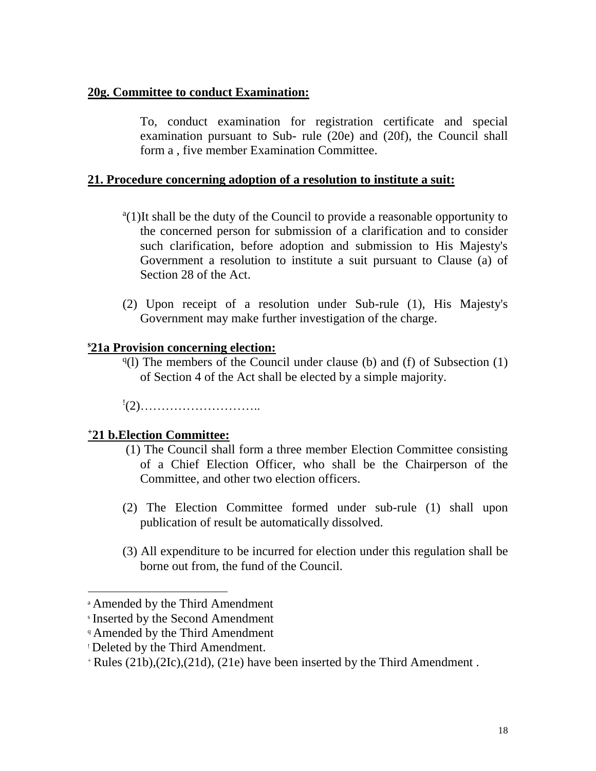#### **20g. Committee to conduct Examination:**

To, conduct examination for registration certificate and special examination pursuant to Sub- rule (20e) and (20f), the Council shall form a , five member Examination Committee.

#### **21. Procedure concerning adoption of a resolution to institute a suit:**

- <sup>a</sup>(1)It shall be the duty of the Council to provide a reasonable opportunity to the concerned person for submission of a clarification and to consider such clarification, before adoption and submission to His Majesty's Government a resolution to institute a suit pursuant to Clause (a) of Section 28 of the Act.
- (2) Upon receipt of a resolution under Sub-rule (1), His Majesty's Government may make further investigation of the charge.

#### **<sup>s</sup>21a Provision concerning election:**

 $q(1)$  The members of the Council under clause (b) and (f) of Subsection (1) of Section 4 of the Act shall be elected by a simple majority.

! (2)………………………..

#### **<sup>+</sup>21 b.Election Committee:**

- (1) The Council shall form a three member Election Committee consisting of a Chief Election Officer, who shall be the Chairperson of the Committee, and other two election officers.
- (2) The Election Committee formed under sub-rule (1) shall upon publication of result be automatically dissolved.
- (3) All expenditure to be incurred for election under this regulation shall be borne out from, the fund of the Council.

<sup>a</sup> Amended by the Third Amendment

s Inserted by the Second Amendment

<sup>q</sup> Amended by the Third Amendment

<sup>!</sup> Deleted by the Third Amendment.

<sup>+</sup> Rules (21b),(2Ic),(21d), (21e) have been inserted by the Third Amendment .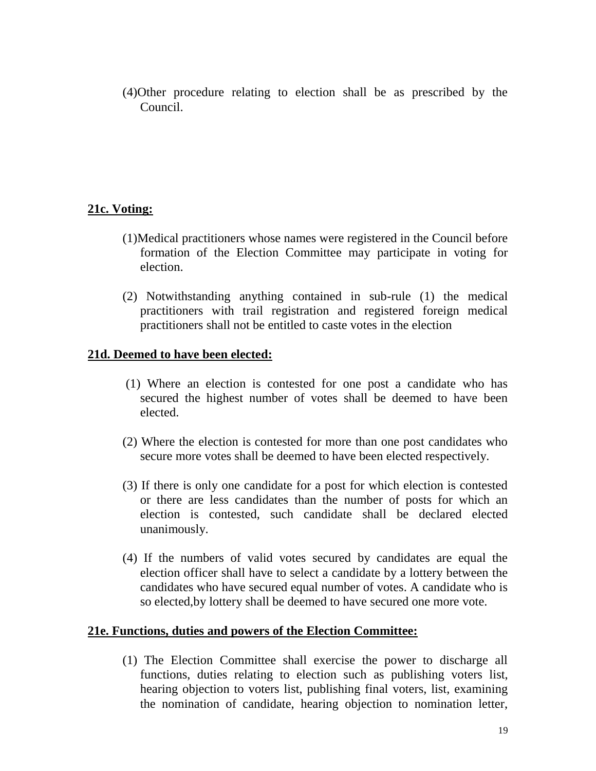(4)Other procedure relating to election shall be as prescribed by the Council.

#### **21c. Voting:**

- (1)Medical practitioners whose names were registered in the Council before formation of the Election Committee may participate in voting for election.
- (2) Notwithstanding anything contained in sub-rule (1) the medical practitioners with trail registration and registered foreign medical practitioners shall not be entitled to caste votes in the election

#### **21d. Deemed to have been elected:**

- (1) Where an election is contested for one post a candidate who has secured the highest number of votes shall be deemed to have been elected.
- (2) Where the election is contested for more than one post candidates who secure more votes shall be deemed to have been elected respectively.
- (3) If there is only one candidate for a post for which election is contested or there are less candidates than the number of posts for which an election is contested, such candidate shall be declared elected unanimously.
- (4) If the numbers of valid votes secured by candidates are equal the election officer shall have to select a candidate by a lottery between the candidates who have secured equal number of votes. A candidate who is so elected,by lottery shall be deemed to have secured one more vote.

#### **21e. Functions, duties and powers of the Election Committee:**

(1) The Election Committee shall exercise the power to discharge all functions, duties relating to election such as publishing voters list, hearing objection to voters list, publishing final voters, list, examining the nomination of candidate, hearing objection to nomination letter,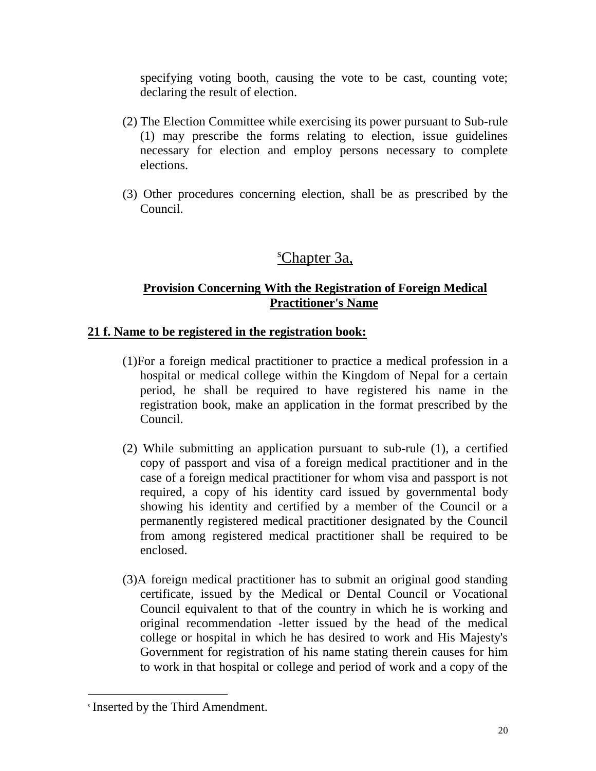specifying voting booth, causing the vote to be cast, counting vote; declaring the result of election.

- (2) The Election Committee while exercising its power pursuant to Sub-rule (1) may prescribe the forms relating to election, issue guidelines necessary for election and employ persons necessary to complete elections.
- (3) Other procedures concerning election, shall be as prescribed by the Council.

## <sup>s</sup>Chapter 3a,

#### **Provision Concerning With the Registration of Foreign Medical Practitioner's Name**

#### **21 f. Name to be registered in the registration book:**

- (1)For a foreign medical practitioner to practice a medical profession in a hospital or medical college within the Kingdom of Nepal for a certain period, he shall be required to have registered his name in the registration book, make an application in the format prescribed by the Council.
- (2) While submitting an application pursuant to sub-rule (1), a certified copy of passport and visa of a foreign medical practitioner and in the case of a foreign medical practitioner for whom visa and passport is not required, a copy of his identity card issued by governmental body showing his identity and certified by a member of the Council or a permanently registered medical practitioner designated by the Council from among registered medical practitioner shall be required to be enclosed.
- (3)A foreign medical practitioner has to submit an original good standing certificate, issued by the Medical or Dental Council or Vocational Council equivalent to that of the country in which he is working and original recommendation -letter issued by the head of the medical college or hospital in which he has desired to work and His Majesty's Government for registration of his name stating therein causes for him to work in that hospital or college and period of work and a copy of the

s Inserted by the Third Amendment.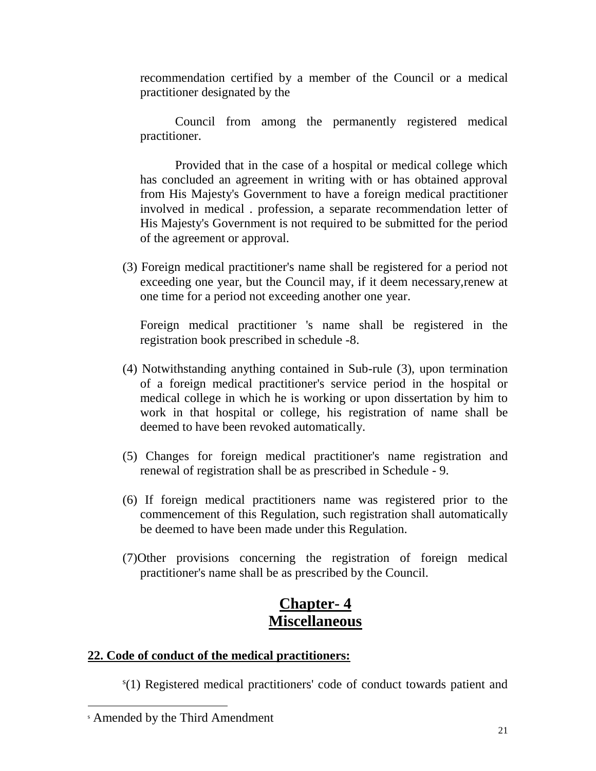recommendation certified by a member of the Council or a medical practitioner designated by the

Council from among the permanently registered medical practitioner.

Provided that in the case of a hospital or medical college which has concluded an agreement in writing with or has obtained approval from His Majesty's Government to have a foreign medical practitioner involved in medical . profession, a separate recommendation letter of His Majesty's Government is not required to be submitted for the period of the agreement or approval.

(3) Foreign medical practitioner's name shall be registered for a period not exceeding one year, but the Council may, if it deem necessary,renew at one time for a period not exceeding another one year.

Foreign medical practitioner 's name shall be registered in the registration book prescribed in schedule -8.

- (4) Notwithstanding anything contained in Sub-rule (3), upon termination of a foreign medical practitioner's service period in the hospital or medical college in which he is working or upon dissertation by him to work in that hospital or college, his registration of name shall be deemed to have been revoked automatically.
- (5) Changes for foreign medical practitioner's name registration and renewal of registration shall be as prescribed in Schedule - 9.
- (6) If foreign medical practitioners name was registered prior to the commencement of this Regulation, such registration shall automatically be deemed to have been made under this Regulation.
- (7)Other provisions concerning the registration of foreign medical practitioner's name shall be as prescribed by the Council.

## **Chapter- 4 Miscellaneous**

#### **22. Code of conduct of the medical practitioners:**

s (1) Registered medical practitioners' code of conduct towards patient and

<sup>s</sup> Amended by the Third Amendment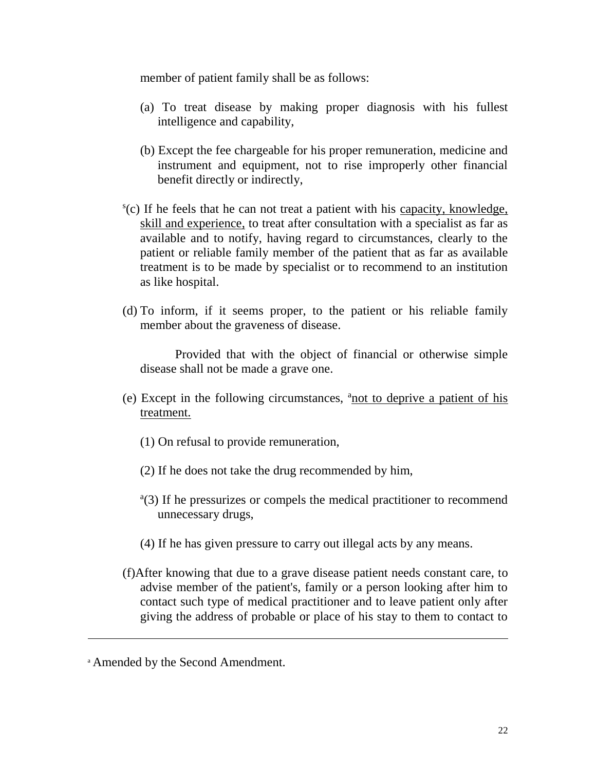member of patient family shall be as follows:

- (a) To treat disease by making proper diagnosis with his fullest intelligence and capability,
- (b) Except the fee chargeable for his proper remuneration, medicine and instrument and equipment, not to rise improperly other financial benefit directly or indirectly,
- s (c) If he feels that he can not treat a patient with his capacity, knowledge, skill and experience, to treat after consultation with a specialist as far as available and to notify, having regard to circumstances, clearly to the patient or reliable family member of the patient that as far as available treatment is to be made by specialist or to recommend to an institution as like hospital.
- (d) To inform, if it seems proper, to the patient or his reliable family member about the graveness of disease.

Provided that with the object of financial or otherwise simple disease shall not be made a grave one.

- (e) Except in the following circumstances,  $a_{\text{not}}$  to deprive a patient of his treatment.
	- (1) On refusal to provide remuneration,
	- (2) If he does not take the drug recommended by him,
	- <sup>a</sup>(3) If he pressurizes or compels the medical practitioner to recommend unnecessary drugs,
	- (4) If he has given pressure to carry out illegal acts by any means.
- (f)After knowing that due to a grave disease patient needs constant care, to advise member of the patient's, family or a person looking after him to contact such type of medical practitioner and to leave patient only after giving the address of probable or place of his stay to them to contact to

<sup>a</sup> Amended by the Second Amendment.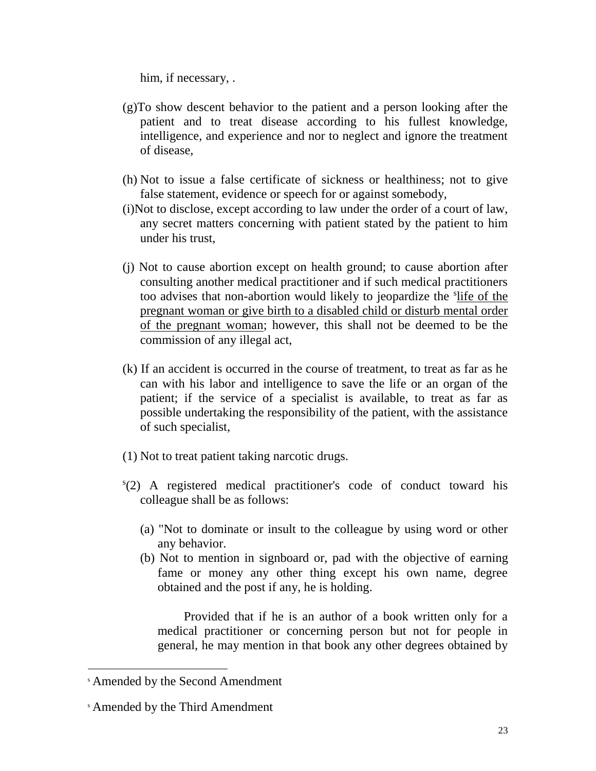him, if necessary, .

- (g)To show descent behavior to the patient and a person looking after the patient and to treat disease according to his fullest knowledge, intelligence, and experience and nor to neglect and ignore the treatment of disease,
- (h) Not to issue a false certificate of sickness or healthiness; not to give false statement, evidence or speech for or against somebody,
- (i)Not to disclose, except according to law under the order of a court of law, any secret matters concerning with patient stated by the patient to him under his trust,
- (j) Not to cause abortion except on health ground; to cause abortion after consulting another medical practitioner and if such medical practitioners too advises that non-abortion would likely to jeopardize the *s*life of the pregnant woman or give birth to a disabled child or disturb mental order of the pregnant woman; however, this shall not be deemed to be the commission of any illegal act,
- (k) If an accident is occurred in the course of treatment, to treat as far as he can with his labor and intelligence to save the life or an organ of the patient; if the service of a specialist is available, to treat as far as possible undertaking the responsibility of the patient, with the assistance of such specialist,
- (1) Not to treat patient taking narcotic drugs.
- s (2) A registered medical practitioner's code of conduct toward his colleague shall be as follows:
	- (a) "Not to dominate or insult to the colleague by using word or other any behavior.
	- (b) Not to mention in signboard or, pad with the objective of earning fame or money any other thing except his own name, degree obtained and the post if any, he is holding.

Provided that if he is an author of a book written only for a medical practitioner or concerning person but not for people in general, he may mention in that book any other degrees obtained by

l

<sup>s</sup> Amended by the Second Amendment

<sup>s</sup> Amended by the Third Amendment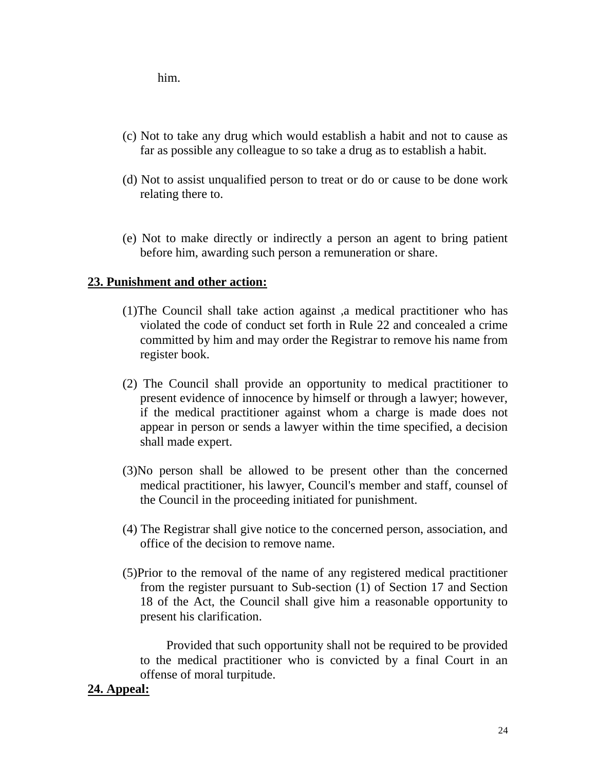him.

- (c) Not to take any drug which would establish a habit and not to cause as far as possible any colleague to so take a drug as to establish a habit.
- (d) Not to assist unqualified person to treat or do or cause to be done work relating there to.
- (e) Not to make directly or indirectly a person an agent to bring patient before him, awarding such person a remuneration or share.

#### **23. Punishment and other action:**

- (1)The Council shall take action against ,a medical practitioner who has violated the code of conduct set forth in Rule 22 and concealed a crime committed by him and may order the Registrar to remove his name from register book.
- (2) The Council shall provide an opportunity to medical practitioner to present evidence of innocence by himself or through a lawyer; however, if the medical practitioner against whom a charge is made does not appear in person or sends a lawyer within the time specified, a decision shall made expert.
- (3)No person shall be allowed to be present other than the concerned medical practitioner, his lawyer, Council's member and staff, counsel of the Council in the proceeding initiated for punishment.
- (4) The Registrar shall give notice to the concerned person, association, and office of the decision to remove name.
- (5)Prior to the removal of the name of any registered medical practitioner from the register pursuant to Sub-section (1) of Section 17 and Section 18 of the Act, the Council shall give him a reasonable opportunity to present his clarification.

Provided that such opportunity shall not be required to be provided to the medical practitioner who is convicted by a final Court in an offense of moral turpitude.

#### **24. Appeal:**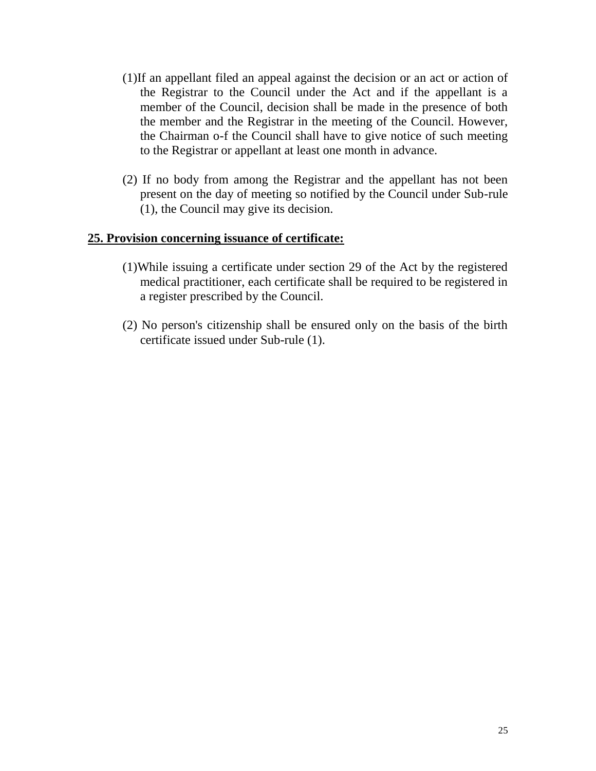- (1)If an appellant filed an appeal against the decision or an act or action of the Registrar to the Council under the Act and if the appellant is a member of the Council, decision shall be made in the presence of both the member and the Registrar in the meeting of the Council. However, the Chairman o-f the Council shall have to give notice of such meeting to the Registrar or appellant at least one month in advance.
- (2) If no body from among the Registrar and the appellant has not been present on the day of meeting so notified by the Council under Sub-rule (1), the Council may give its decision.

#### **25. Provision concerning issuance of certificate:**

- (1)While issuing a certificate under section 29 of the Act by the registered medical practitioner, each certificate shall be required to be registered in a register prescribed by the Council.
- (2) No person's citizenship shall be ensured only on the basis of the birth certificate issued under Sub-rule (1).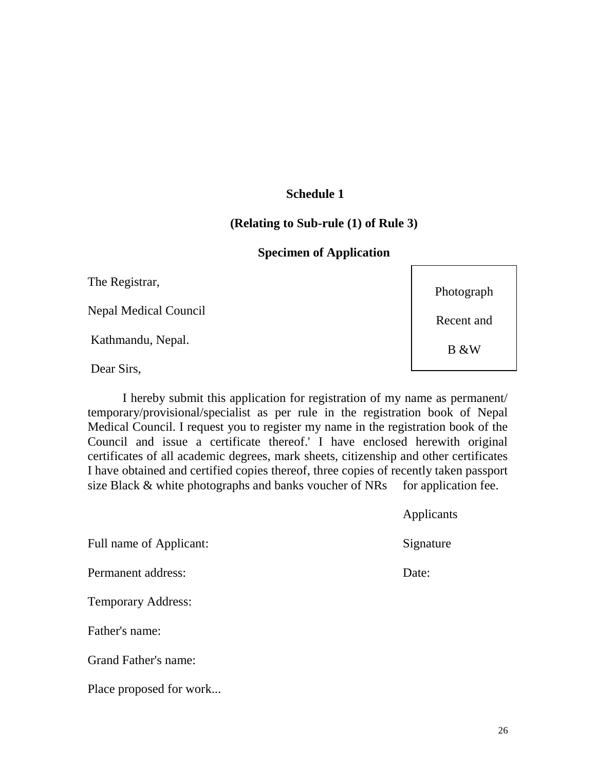#### **Schedule 1**

#### **(Relating to Sub-rule (1) of Rule 3)**

#### **Specimen of Application**

The Registrar,

Nepal Medical Council

Kathmandu, Nepal.

Dear Sirs,

I hereby submit this application for registration of my name as permanent/ temporary/provisional/specialist as per rule in the registration book of Nepal Medical Council. I request you to register my name in the registration book of the Council and issue a certificate thereof.' I have enclosed herewith original certificates of all academic degrees, mark sheets, citizenship and other certificates I have obtained and certified copies thereof, three copies of recently taken passport size Black  $&$  white photographs and banks voucher of NRs for application fee.

|                           | $  \mu$ $\mu$ $  \cdots$ |
|---------------------------|--------------------------|
| Full name of Applicant:   | Signature                |
| Permanent address:        | Date:                    |
| <b>Temporary Address:</b> |                          |
| Father's name:            |                          |
| Grand Father's name:      |                          |
| Place proposed for work   |                          |

Photograph

Recent and

B &W

**Applicants**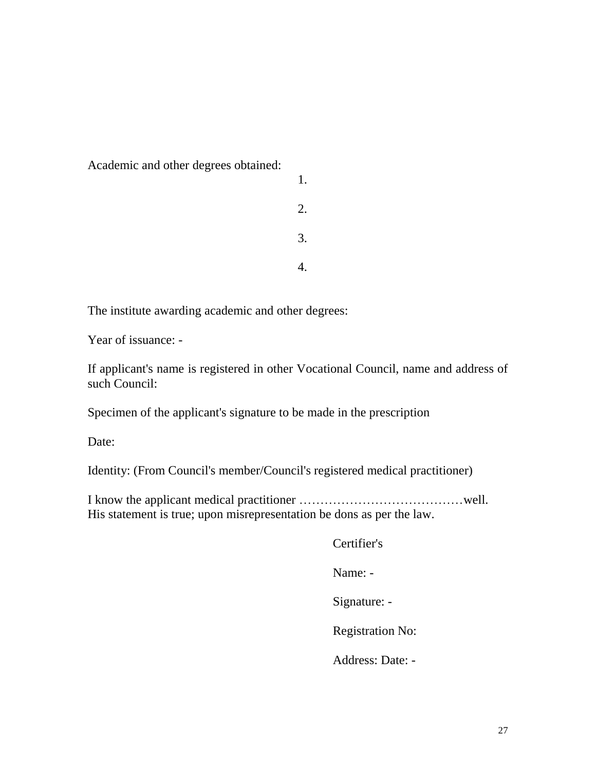Academic and other degrees obtained:

| 1. |
|----|
| 2. |
| 3. |
|    |

The institute awarding academic and other degrees:

Year of issuance: -

If applicant's name is registered in other Vocational Council, name and address of such Council:

Specimen of the applicant's signature to be made in the prescription

Date:

Identity: (From Council's member/Council's registered medical practitioner)

I know the applicant medical practitioner …………………………………well. His statement is true; upon misrepresentation be dons as per the law.

Certifier's

Name: -

Signature: -

Registration No:

Address: Date: -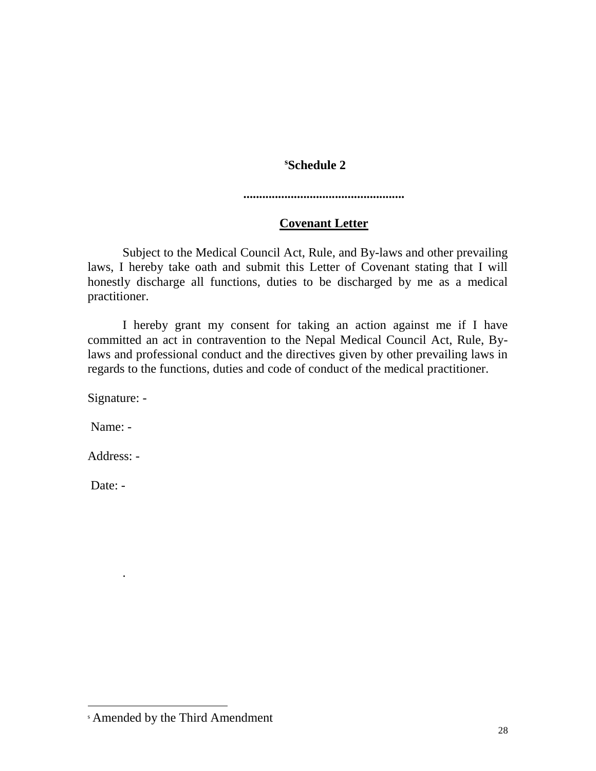#### **<sup>s</sup>Schedule 2**

**...................................................**

## **Covenant Letter**

Subject to the Medical Council Act, Rule, and By-laws and other prevailing laws, I hereby take oath and submit this Letter of Covenant stating that I will honestly discharge all functions, duties to be discharged by me as a medical practitioner.

I hereby grant my consent for taking an action against me if I have committed an act in contravention to the Nepal Medical Council Act, Rule, Bylaws and professional conduct and the directives given by other prevailing laws in regards to the functions, duties and code of conduct of the medical practitioner.

Signature: -

Name: -

Address: -

.

 $\overline{\phantom{a}}$ 

Date: -

<sup>s</sup> Amended by the Third Amendment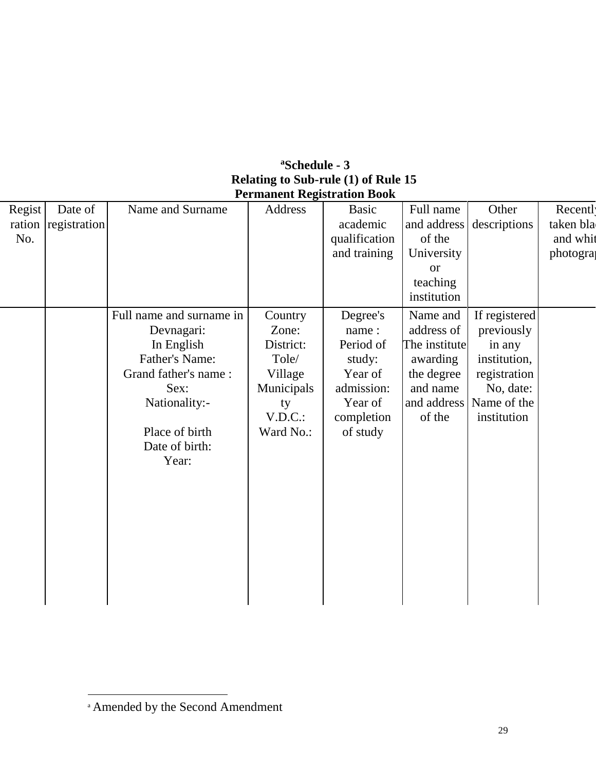| <sup>a</sup> Schedule - 3                  |
|--------------------------------------------|
| <b>Relating to Sub-rule (1) of Rule 15</b> |
| <b>Permanent Registration Book</b>         |

| Regist | Date of      | Name and Surname         | Address    | <b>Basic</b>  | Full name     | Other         | Recentl   |
|--------|--------------|--------------------------|------------|---------------|---------------|---------------|-----------|
| ration | registration |                          |            | academic      | and address   | descriptions  | taken bla |
| No.    |              |                          |            | qualification | of the        |               | and whit  |
|        |              |                          |            | and training  | University    |               | photogra  |
|        |              |                          |            |               | <b>or</b>     |               |           |
|        |              |                          |            |               | teaching      |               |           |
|        |              |                          |            |               | institution   |               |           |
|        |              | Full name and surname in | Country    | Degree's      | Name and      | If registered |           |
|        |              | Devnagari:               | Zone:      | name:         | address of    | previously    |           |
|        |              | In English               | District:  | Period of     | The institute | in any        |           |
|        |              | Father's Name:           | Tole/      | study:        | awarding      | institution,  |           |
|        |              | Grand father's name:     | Village    | Year of       | the degree    | registration  |           |
|        |              | Sex:                     | Municipals | admission:    | and name      | No, date:     |           |
|        |              | Nationality:-            | ty         | Year of       | and address   | Name of the   |           |
|        |              |                          | V.D.C.     | completion    | of the        | institution   |           |
|        |              | Place of birth           | Ward No.:  | of study      |               |               |           |
|        |              | Date of birth:           |            |               |               |               |           |
|        |              | Year:                    |            |               |               |               |           |
|        |              |                          |            |               |               |               |           |
|        |              |                          |            |               |               |               |           |
|        |              |                          |            |               |               |               |           |
|        |              |                          |            |               |               |               |           |
|        |              |                          |            |               |               |               |           |
|        |              |                          |            |               |               |               |           |
|        |              |                          |            |               |               |               |           |
|        |              |                          |            |               |               |               |           |
|        |              |                          |            |               |               |               |           |
|        |              |                          |            |               |               |               |           |

a Amended by the Second Amendment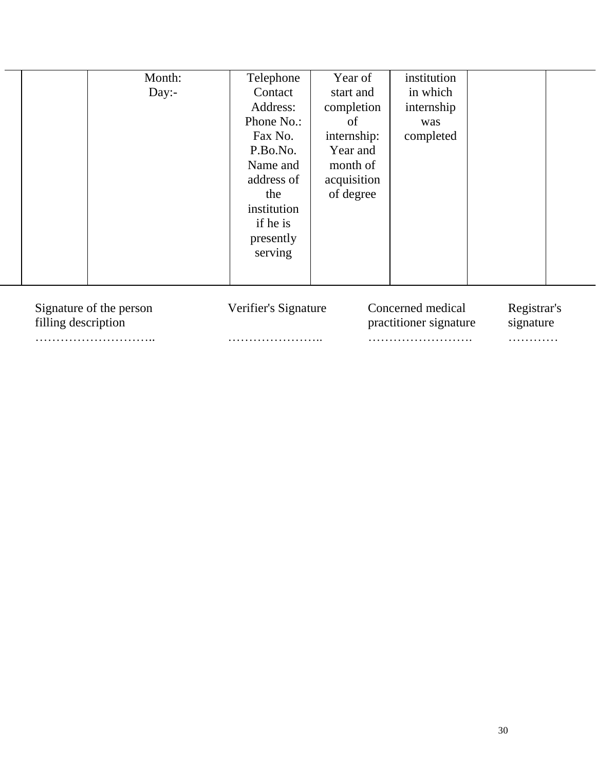|                                                | Month:<br>Day: | Telephone<br>Contact<br>Address:<br>Phone No.:<br>Fax No.<br>P.Bo.No.<br>Name and<br>address of<br>the<br>institution<br>if he is | Year of<br>start and<br>completion<br>of<br>internship:<br>Year and<br>month of<br>acquisition<br>of degree | institution<br>in which<br>internship<br>was<br>completed |                          |  |
|------------------------------------------------|----------------|-----------------------------------------------------------------------------------------------------------------------------------|-------------------------------------------------------------------------------------------------------------|-----------------------------------------------------------|--------------------------|--|
|                                                |                | presently<br>serving                                                                                                              |                                                                                                             |                                                           |                          |  |
| Signature of the person<br>filling description |                | Verifier's Signature                                                                                                              |                                                                                                             | Concerned medical<br>practitioner signature               | Registrar's<br>signature |  |
|                                                |                |                                                                                                                                   |                                                                                                             |                                                           | .                        |  |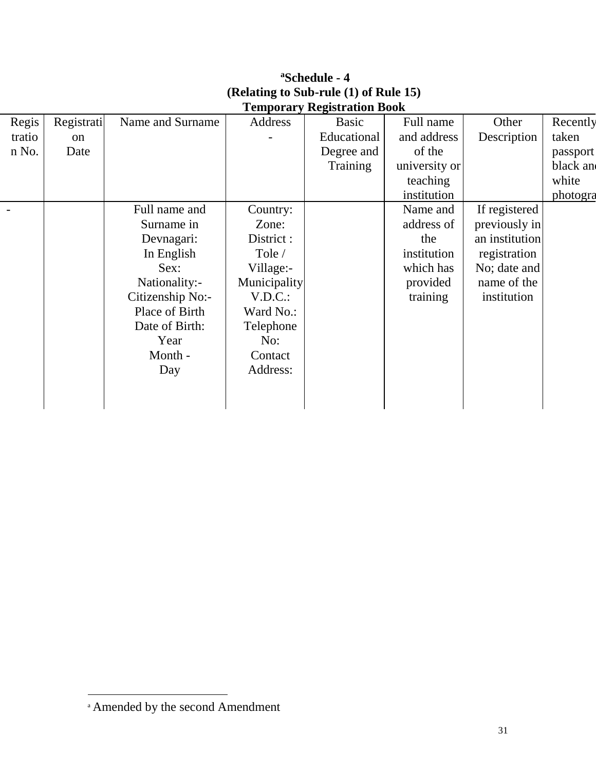|               |                  |              | <b>Temporary Registration Book</b> |               |                |          |
|---------------|------------------|--------------|------------------------------------|---------------|----------------|----------|
|               | Name and Surname | Address      | <b>Basic</b>                       | Full name     | Other          | Recently |
| <sub>on</sub> |                  |              | Educational                        | and address   | Description    | taken    |
| Date          |                  |              | Degree and                         | of the        |                | passport |
|               |                  |              | Training                           | university or |                | black an |
|               |                  |              |                                    | teaching      |                | white    |
|               |                  |              |                                    | institution   |                | photogra |
|               | Full name and    | Country:     |                                    | Name and      | If registered  |          |
|               | Surname in       | Zone:        |                                    | address of    | previously in  |          |
|               | Devnagari:       | District :   |                                    | the           | an institution |          |
|               | In English       | Tole /       |                                    | institution   | registration   |          |
|               | Sex:             | Village:-    |                                    | which has     | No; date and   |          |
|               | Nationality:-    | Municipality |                                    | provided      | name of the    |          |
|               | Citizenship No:- | V.D.C.       |                                    | training      | institution    |          |
|               | Place of Birth   | Ward No.:    |                                    |               |                |          |
|               | Date of Birth:   | Telephone    |                                    |               |                |          |
|               | Year             | No:          |                                    |               |                |          |
|               | Month -          | Contact      |                                    |               |                |          |
|               | Day              | Address:     |                                    |               |                |          |
|               |                  |              |                                    |               |                |          |
|               |                  |              |                                    |               |                |          |
|               | Registrati       |              |                                    |               |                |          |

# **<sup>a</sup>Schedule - 4 (Relating to Sub-rule (1) of Rule 15)**

a Amended by the second Amendment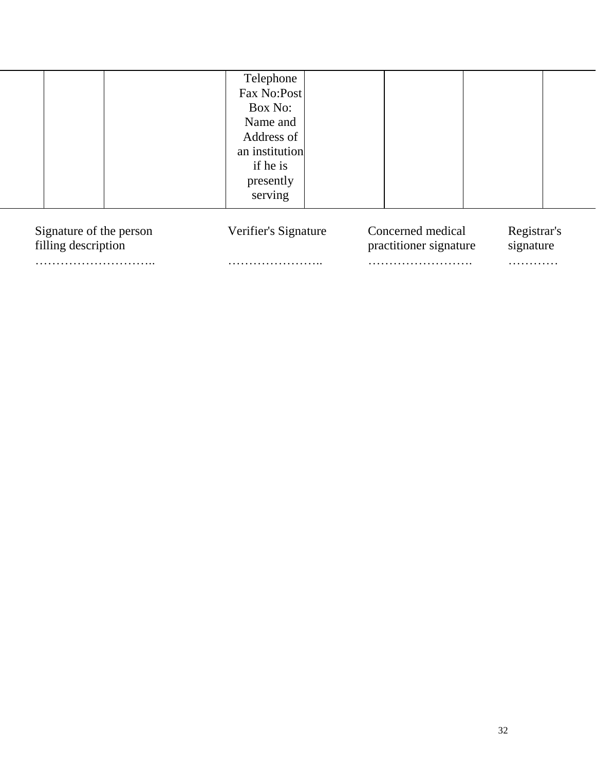|  | Telephone      |  |  |
|--|----------------|--|--|
|  | Fax No:Post    |  |  |
|  | Box No:        |  |  |
|  | Name and       |  |  |
|  | Address of     |  |  |
|  | an institution |  |  |
|  | if he is       |  |  |
|  | presently      |  |  |
|  | serving        |  |  |
|  |                |  |  |

| Signature of the person | Verifier's Signature | Concerned medical      | Registrar's |
|-------------------------|----------------------|------------------------|-------------|
| filling description     |                      | practitioner signature | signature   |
|                         |                      |                        | .           |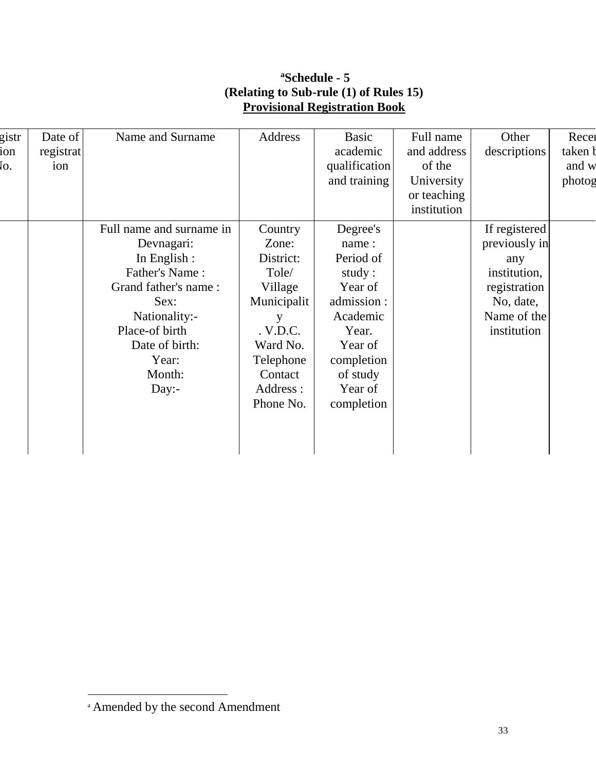## **<sup>a</sup>Schedule - 5 (Relating to Sub-rule (1) of Rules 15) Provisional Registration Book**

| gistr | Date of   | Name and Surname         | Address     | <b>Basic</b>  | Full name   | Other         | Recei   |
|-------|-----------|--------------------------|-------------|---------------|-------------|---------------|---------|
| ion   | registrat |                          |             | academic      | and address | descriptions  | taken b |
| Ιo.   | ion       |                          |             | qualification | of the      |               | and w   |
|       |           |                          |             | and training  | University  |               | photog  |
|       |           |                          |             |               | or teaching |               |         |
|       |           |                          |             |               | institution |               |         |
|       |           | Full name and surname in | Country     | Degree's      |             | If registered |         |
|       |           | Devnagari:               | Zone:       | name:         |             | previously in |         |
|       |           | In English :             | District:   | Period of     |             | any           |         |
|       |           | Father's Name:           | Tole/       | study:        |             | institution,  |         |
|       |           | Grand father's name:     | Village     | Year of       |             | registration  |         |
|       |           | Sex:                     | Municipalit | admission :   |             | No, date,     |         |
|       |           | Nationality:-            | y           | Academic      |             | Name of the   |         |
|       |           | Place-of birth           | . V.D.C.    | Year.         |             | institution   |         |
|       |           | Date of birth:           | Ward No.    | Year of       |             |               |         |
|       |           | Year:                    | Telephone   | completion    |             |               |         |
|       |           | Month:                   | Contact     | of study      |             |               |         |
|       |           | Day:-                    | Address :   | Year of       |             |               |         |
|       |           |                          | Phone No.   | completion    |             |               |         |
|       |           |                          |             |               |             |               |         |
|       |           |                          |             |               |             |               |         |
|       |           |                          |             |               |             |               |         |
|       |           |                          |             |               |             |               |         |

a Amended by the second Amendment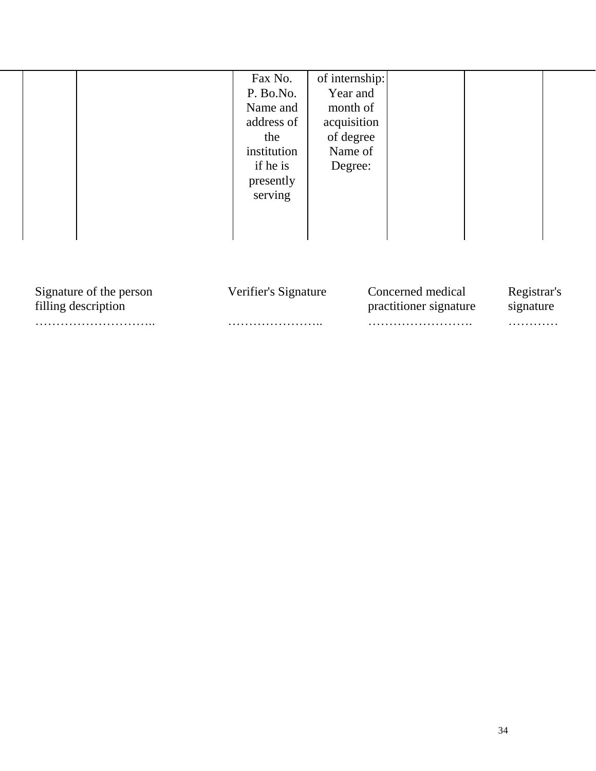|                         | Fax No.<br>P. Bo.No.<br>Name and<br>address of<br>the<br>institution<br>if he is<br>presently<br>serving | of internship:<br>Year and<br>month of<br>acquisition<br>of degree<br>Name of<br>Degree: |             |
|-------------------------|----------------------------------------------------------------------------------------------------------|------------------------------------------------------------------------------------------|-------------|
| Signature of the person | Verifier's Signature                                                                                     | Concerned medical                                                                        | Registrar's |
| filling description     |                                                                                                          | practitioner signature                                                                   | signature   |

……………………….. ………………….. ……………………. …………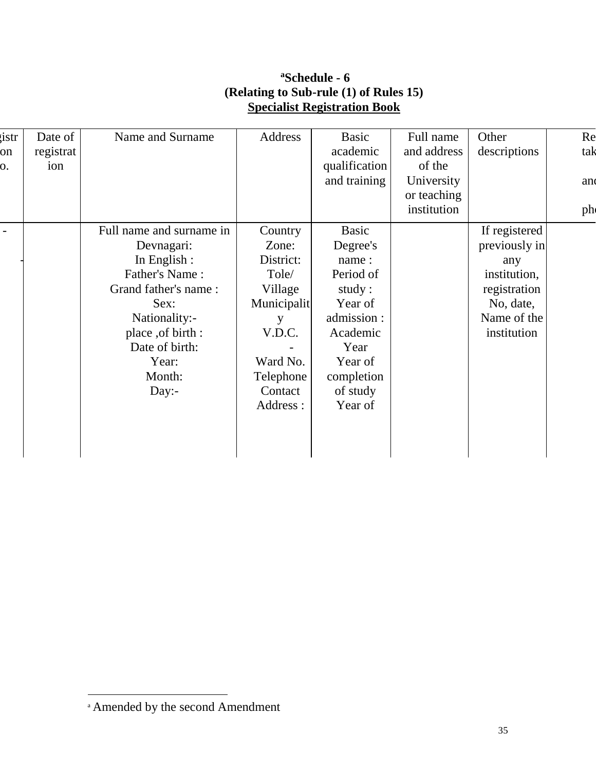## **<sup>a</sup>Schedule - 6 (Relating to Sub-rule (1) of Rules 15) Specialist Registration Book**

| istr     | Date of          | Name and Surname         | Address     | Basic                     | Full name                 | Other         | Re  |
|----------|------------------|--------------------------|-------------|---------------------------|---------------------------|---------------|-----|
| on<br>0. | registrat<br>ion |                          |             | academic<br>qualification | and address<br>of the     | descriptions  | tak |
|          |                  |                          |             | and training              | University<br>or teaching |               | and |
|          |                  |                          |             |                           | institution               |               | ph  |
|          |                  | Full name and surname in | Country     | Basic                     |                           | If registered |     |
|          |                  | Devnagari:               | Zone:       | Degree's                  |                           | previously in |     |
|          |                  | In English :             | District:   | name:                     |                           | any           |     |
|          |                  | Father's Name:           | Tole/       | Period of                 |                           | institution,  |     |
|          |                  | Grand father's name:     | Village     | study:                    |                           | registration  |     |
|          |                  | Sex:                     | Municipalit | Year of                   |                           | No, date,     |     |
|          |                  | Nationality:-            | у           | admission :               |                           | Name of the   |     |
|          |                  | place , of birth :       | V.D.C.      | Academic                  |                           | institution   |     |
|          |                  | Date of birth:           |             | Year                      |                           |               |     |
|          |                  | Year:                    | Ward No.    | Year of                   |                           |               |     |
|          |                  | Month:                   | Telephone   | completion                |                           |               |     |
|          |                  | Day:-                    | Contact     | of study                  |                           |               |     |
|          |                  |                          | Address :   | Year of                   |                           |               |     |
|          |                  |                          |             |                           |                           |               |     |
|          |                  |                          |             |                           |                           |               |     |
|          |                  |                          |             |                           |                           |               |     |

a Amended by the second Amendment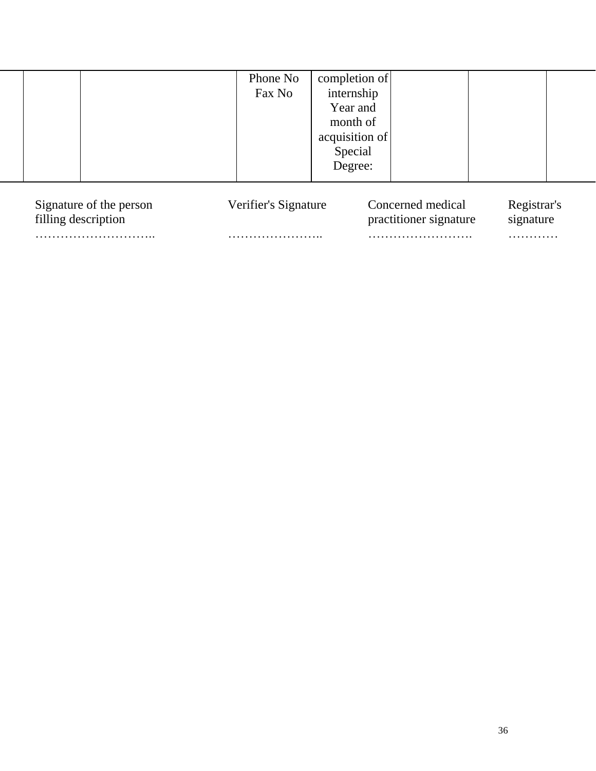|                         | Phone No<br>Fax No   | completion of<br>internship<br>Year and<br>month of<br>acquisition of<br>Special<br>Degree: |                   |             |  |
|-------------------------|----------------------|---------------------------------------------------------------------------------------------|-------------------|-------------|--|
| Signature of the person | Verifier's Signature |                                                                                             | Concerned medical | Registrar's |  |

| Signature of the person | Verifier's Signature | Concerned medical      | Registrar's |
|-------------------------|----------------------|------------------------|-------------|
| filling description     |                      | practitioner signature | signature   |
|                         |                      |                        | .           |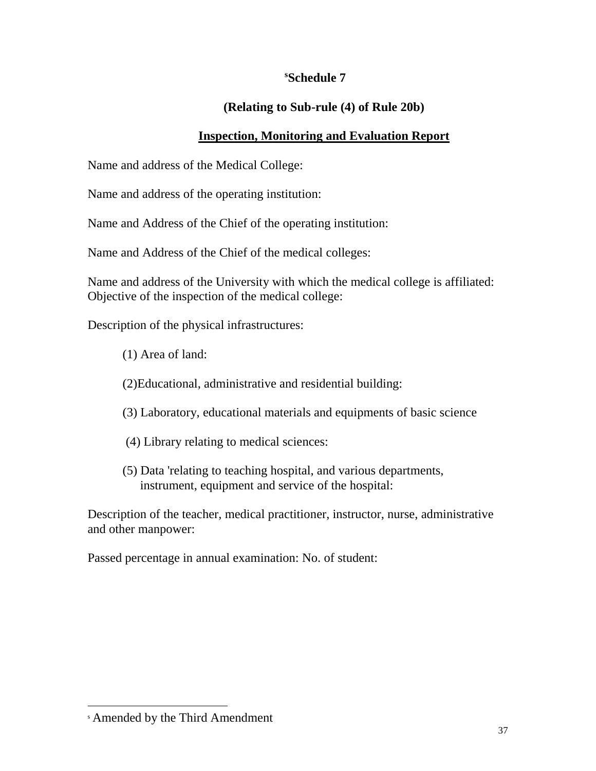#### **<sup>s</sup>Schedule 7**

## **(Relating to Sub-rule (4) of Rule 20b)**

#### **Inspection, Monitoring and Evaluation Report**

Name and address of the Medical College:

Name and address of the operating institution:

Name and Address of the Chief of the operating institution:

Name and Address of the Chief of the medical colleges:

Name and address of the University with which the medical college is affiliated: Objective of the inspection of the medical college:

Description of the physical infrastructures:

- (1) Area of land:
- (2)Educational, administrative and residential building:
- (3) Laboratory, educational materials and equipments of basic science
- (4) Library relating to medical sciences:
- (5) Data 'relating to teaching hospital, and various departments, instrument, equipment and service of the hospital:

Description of the teacher, medical practitioner, instructor, nurse, administrative and other manpower:

Passed percentage in annual examination: No. of student:

<sup>s</sup> Amended by the Third Amendment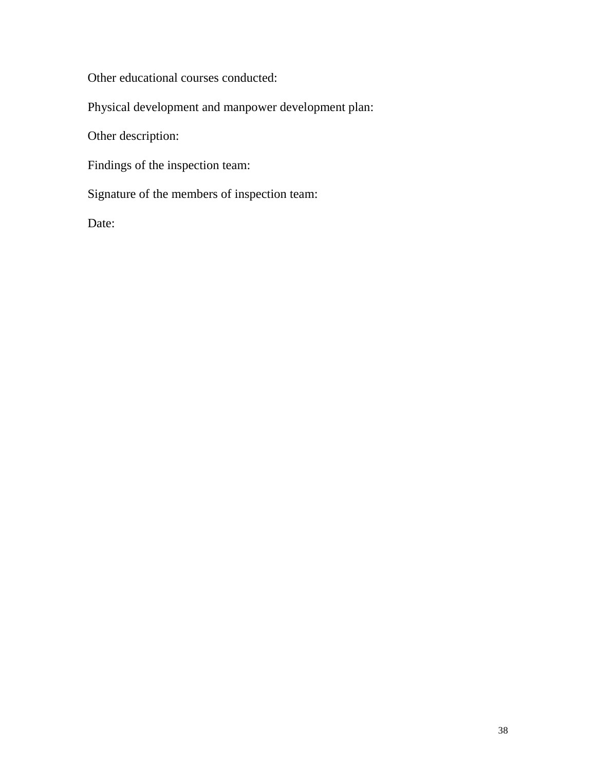Other educational courses conducted:

Physical development and manpower development plan:

Other description:

Findings of the inspection team:

Signature of the members of inspection team:

Date: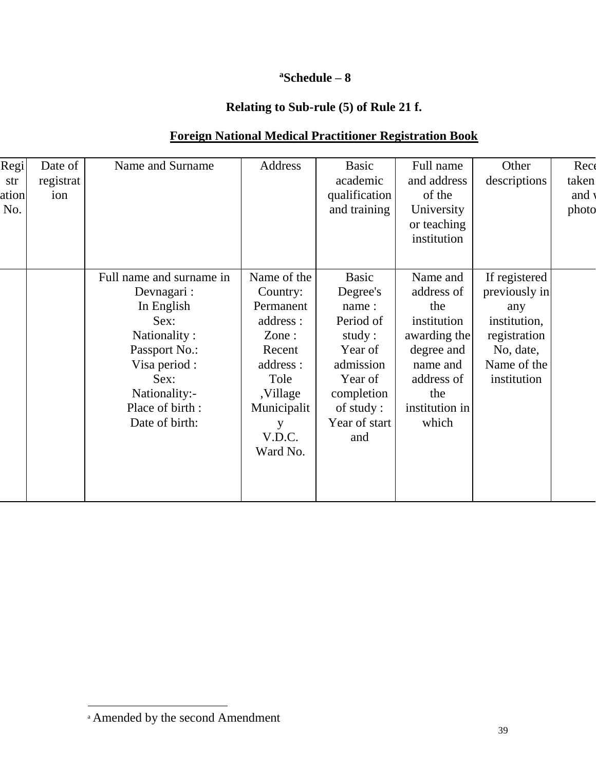## **<sup>a</sup>Schedule – 8**

## **Relating to Sub-rule (5) of Rule 21 f.**

| Regi<br>str<br>ation<br>No. | Date of<br>registrat<br>ion | Name and Surname                                                                                                                                                             | Address                                                                                                                                        | Basic<br>academic<br>qualification<br>and training                                                                                             | Full name<br>and address<br>of the<br>University<br>or teaching<br>institution                                                         | Other<br>descriptions                                                                                            | Rece<br>taken<br>and v<br>photo |
|-----------------------------|-----------------------------|------------------------------------------------------------------------------------------------------------------------------------------------------------------------------|------------------------------------------------------------------------------------------------------------------------------------------------|------------------------------------------------------------------------------------------------------------------------------------------------|----------------------------------------------------------------------------------------------------------------------------------------|------------------------------------------------------------------------------------------------------------------|---------------------------------|
|                             |                             | Full name and surname in<br>Devnagari:<br>In English<br>Sex:<br>Nationality:<br>Passport No.:<br>Visa period :<br>Sex:<br>Nationality:-<br>Place of birth:<br>Date of birth: | Name of the<br>Country:<br>Permanent<br>address:<br>Zone:<br>Recent<br>address :<br>Tole<br>,Village<br>Municipalit<br>у<br>V.D.C.<br>Ward No. | <b>Basic</b><br>Degree's<br>name:<br>Period of<br>study:<br>Year of<br>admission<br>Year of<br>completion<br>of study:<br>Year of start<br>and | Name and<br>address of<br>the<br>institution<br>awarding the<br>degree and<br>name and<br>address of<br>the<br>institution in<br>which | If registered<br>previously in<br>any<br>institution,<br>registration<br>No, date,<br>Name of the<br>institution |                                 |

a Amended by the second Amendment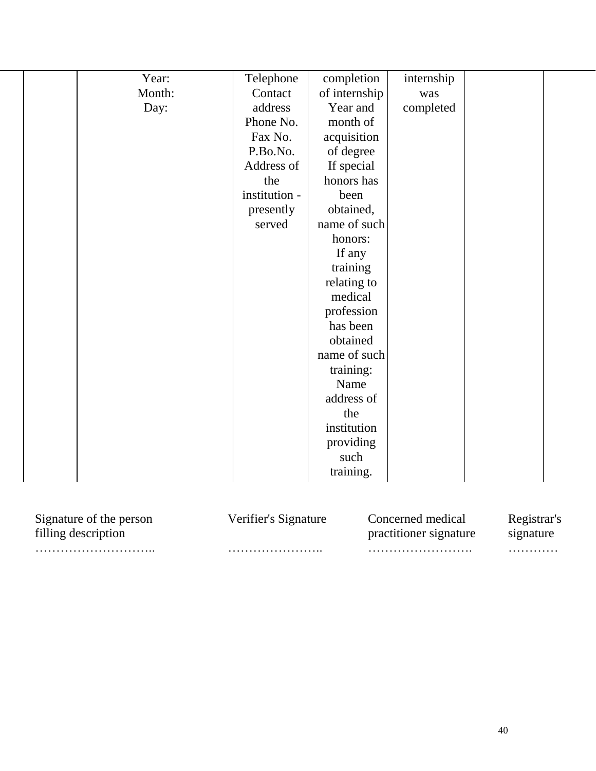| Year:<br>Month:<br>Day:                        | Telephone<br>Contact<br>address<br>Phone No.<br>Fax No.<br>P.Bo.No.<br>Address of<br>the<br>institution -<br>presently<br>served | completion<br>of internship<br>Year and<br>month of<br>acquisition<br>of degree<br>If special<br>honors has<br>been<br>obtained,<br>name of such<br>honors:<br>If any<br>training<br>relating to<br>medical<br>profession<br>has been<br>obtained<br>name of such<br>training:<br>Name<br>address of<br>the<br>institution | internship<br>was<br>completed              |                          |
|------------------------------------------------|----------------------------------------------------------------------------------------------------------------------------------|----------------------------------------------------------------------------------------------------------------------------------------------------------------------------------------------------------------------------------------------------------------------------------------------------------------------------|---------------------------------------------|--------------------------|
|                                                |                                                                                                                                  | providing<br>such<br>training.                                                                                                                                                                                                                                                                                             |                                             |                          |
| Signature of the person<br>filling description | Verifier's Signature                                                                                                             |                                                                                                                                                                                                                                                                                                                            | Concerned medical<br>practitioner signature | Registrar's<br>signature |

……………………….. ………………….. ……………………. …………